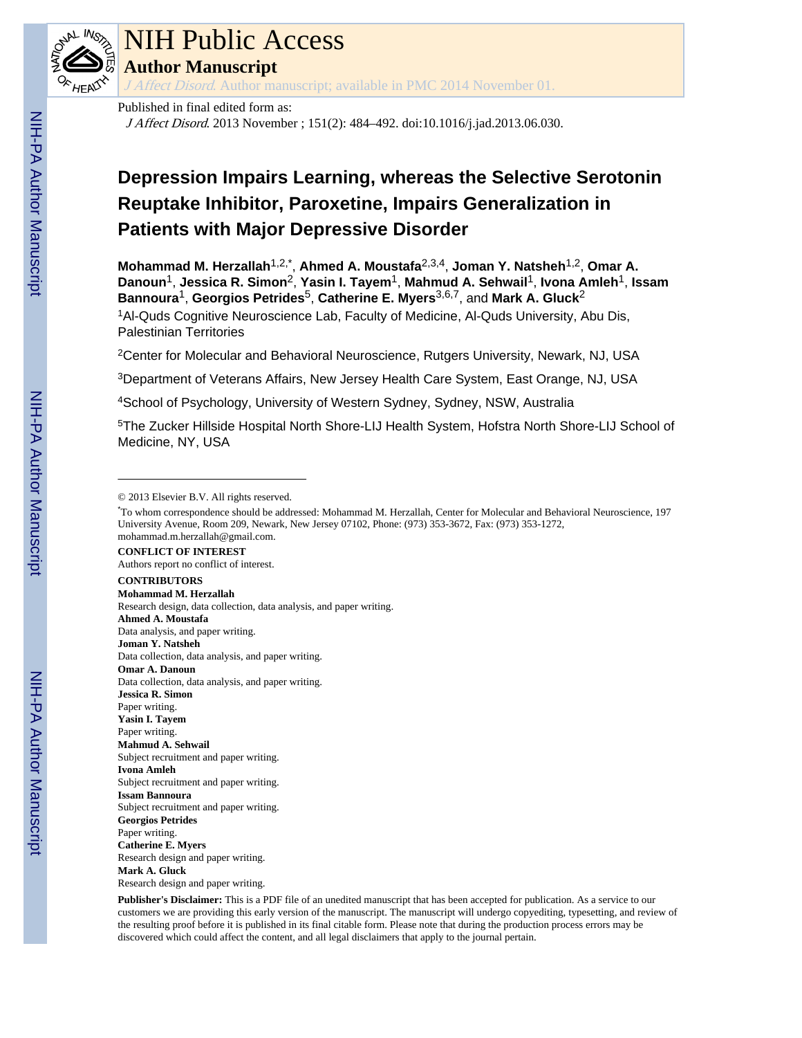

## NIH Public Access

**Author Manuscript**

J Affect Disord. Author manuscript; available in PMC 2014 November 01.

#### Published in final edited form as:

J Affect Disord. 2013 November ; 151(2): 484–492. doi:10.1016/j.jad.2013.06.030.

### **Depression Impairs Learning, whereas the Selective Serotonin Reuptake Inhibitor, Paroxetine, Impairs Generalization in Patients with Major Depressive Disorder**

**Mohammad M. Herzallah**1,2,\* , **Ahmed A. Moustafa**2,3,4, **Joman Y. Natsheh**1,2, **Omar A. Danoun**1, **Jessica R. Simon**2, **Yasin I. Tayem**1, **Mahmud A. Sehwail**1, **Ivona Amleh**1, **Issam Bannoura**1, **Georgios Petrides**5, **Catherine E. Myers**3,6,7, and **Mark A. Gluck**<sup>2</sup>

<sup>1</sup>Al-Quds Cognitive Neuroscience Lab, Faculty of Medicine, Al-Quds University, Abu Dis, Palestinian Territories

<sup>2</sup>Center for Molecular and Behavioral Neuroscience, Rutgers University, Newark, NJ, USA

<sup>3</sup>Department of Veterans Affairs, New Jersey Health Care System, East Orange, NJ, USA

<sup>4</sup>School of Psychology, University of Western Sydney, Sydney, NSW, Australia

<sup>5</sup>The Zucker Hillside Hospital North Shore-LIJ Health System, Hofstra North Shore-LIJ School of Medicine, NY, USA

#### **CONFLICT OF INTEREST**

Authors report no conflict of interest.

#### **CONTRIBUTORS**

**Mohammad M. Herzallah** Research design, data collection, data analysis, and paper writing. **Ahmed A. Moustafa** Data analysis, and paper writing. **Joman Y. Natsheh** Data collection, data analysis, and paper writing. **Omar A. Danoun** Data collection, data analysis, and paper writing. **Jessica R. Simon** Paper writing. **Yasin I. Tayem** Paper writing. **Mahmud A. Sehwail** Subject recruitment and paper writing. **Ivona Amleh** Subject recruitment and paper writing. **Issam Bannoura** Subject recruitment and paper writing. **Georgios Petrides** Paper writing. **Catherine E. Myers** Research design and paper writing. **Mark A. Gluck** Research design and paper writing.

**Publisher's Disclaimer:** This is a PDF file of an unedited manuscript that has been accepted for publication. As a service to our customers we are providing this early version of the manuscript. The manuscript will undergo copyediting, typesetting, and review of the resulting proof before it is published in its final citable form. Please note that during the production process errors may be discovered which could affect the content, and all legal disclaimers that apply to the journal pertain.

<sup>© 2013</sup> Elsevier B.V. All rights reserved.

<sup>\*</sup>To whom correspondence should be addressed: Mohammad M. Herzallah, Center for Molecular and Behavioral Neuroscience, 197 University Avenue, Room 209, Newark, New Jersey 07102, Phone: (973) 353-3672, Fax: (973) 353-1272, mohammad.m.herzallah@gmail.com.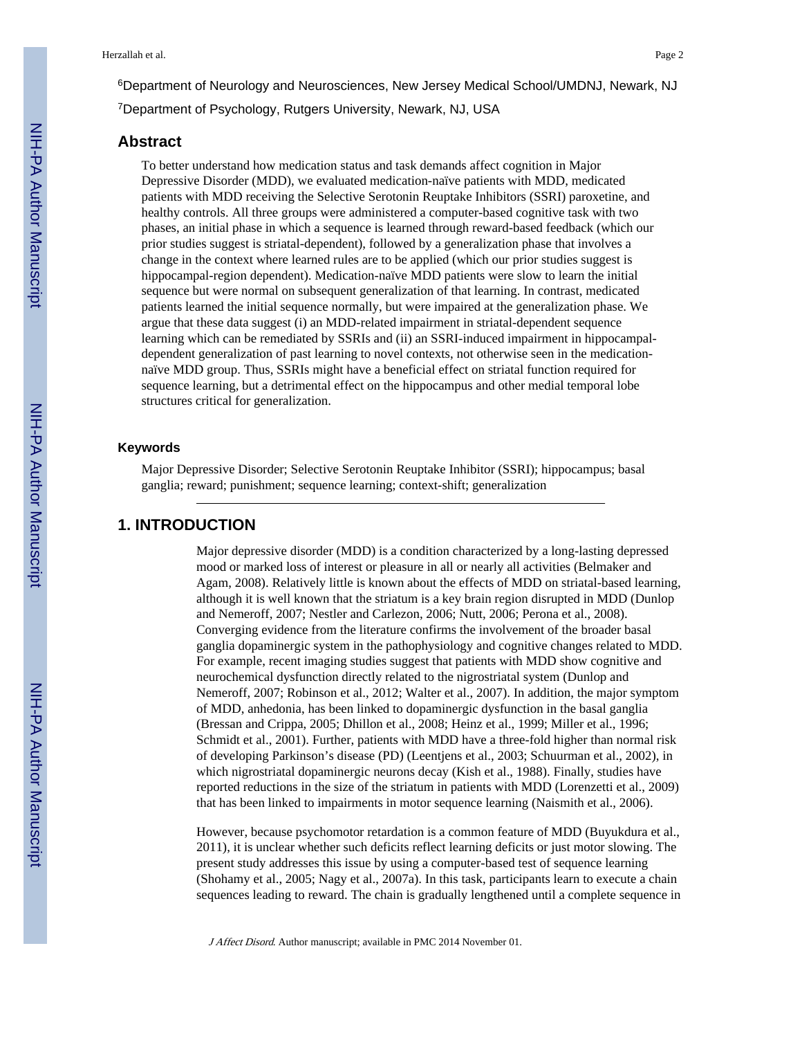<sup>6</sup>Department of Neurology and Neurosciences, New Jersey Medical School/UMDNJ, Newark, NJ

<sup>7</sup>Department of Psychology, Rutgers University, Newark, NJ, USA

#### **Abstract**

To better understand how medication status and task demands affect cognition in Major Depressive Disorder (MDD), we evaluated medication-naïve patients with MDD, medicated patients with MDD receiving the Selective Serotonin Reuptake Inhibitors (SSRI) paroxetine, and healthy controls. All three groups were administered a computer-based cognitive task with two phases, an initial phase in which a sequence is learned through reward-based feedback (which our prior studies suggest is striatal-dependent), followed by a generalization phase that involves a change in the context where learned rules are to be applied (which our prior studies suggest is hippocampal-region dependent). Medication-naïve MDD patients were slow to learn the initial sequence but were normal on subsequent generalization of that learning. In contrast, medicated patients learned the initial sequence normally, but were impaired at the generalization phase. We argue that these data suggest (i) an MDD-related impairment in striatal-dependent sequence learning which can be remediated by SSRIs and (ii) an SSRI-induced impairment in hippocampaldependent generalization of past learning to novel contexts, not otherwise seen in the medicationnaïve MDD group. Thus, SSRIs might have a beneficial effect on striatal function required for sequence learning, but a detrimental effect on the hippocampus and other medial temporal lobe structures critical for generalization.

#### **Keywords**

Major Depressive Disorder; Selective Serotonin Reuptake Inhibitor (SSRI); hippocampus; basal ganglia; reward; punishment; sequence learning; context-shift; generalization

#### **1. INTRODUCTION**

Major depressive disorder (MDD) is a condition characterized by a long-lasting depressed mood or marked loss of interest or pleasure in all or nearly all activities (Belmaker and Agam, 2008). Relatively little is known about the effects of MDD on striatal-based learning, although it is well known that the striatum is a key brain region disrupted in MDD (Dunlop and Nemeroff, 2007; Nestler and Carlezon, 2006; Nutt, 2006; Perona et al., 2008). Converging evidence from the literature confirms the involvement of the broader basal ganglia dopaminergic system in the pathophysiology and cognitive changes related to MDD. For example, recent imaging studies suggest that patients with MDD show cognitive and neurochemical dysfunction directly related to the nigrostriatal system (Dunlop and Nemeroff, 2007; Robinson et al., 2012; Walter et al., 2007). In addition, the major symptom of MDD, anhedonia, has been linked to dopaminergic dysfunction in the basal ganglia (Bressan and Crippa, 2005; Dhillon et al., 2008; Heinz et al., 1999; Miller et al., 1996; Schmidt et al., 2001). Further, patients with MDD have a three-fold higher than normal risk of developing Parkinson's disease (PD) (Leentjens et al., 2003; Schuurman et al., 2002), in which nigrostriatal dopaminergic neurons decay (Kish et al., 1988). Finally, studies have reported reductions in the size of the striatum in patients with MDD (Lorenzetti et al., 2009) that has been linked to impairments in motor sequence learning (Naismith et al., 2006).

However, because psychomotor retardation is a common feature of MDD (Buyukdura et al., 2011), it is unclear whether such deficits reflect learning deficits or just motor slowing. The present study addresses this issue by using a computer-based test of sequence learning (Shohamy et al., 2005; Nagy et al., 2007a). In this task, participants learn to execute a chain sequences leading to reward. The chain is gradually lengthened until a complete sequence in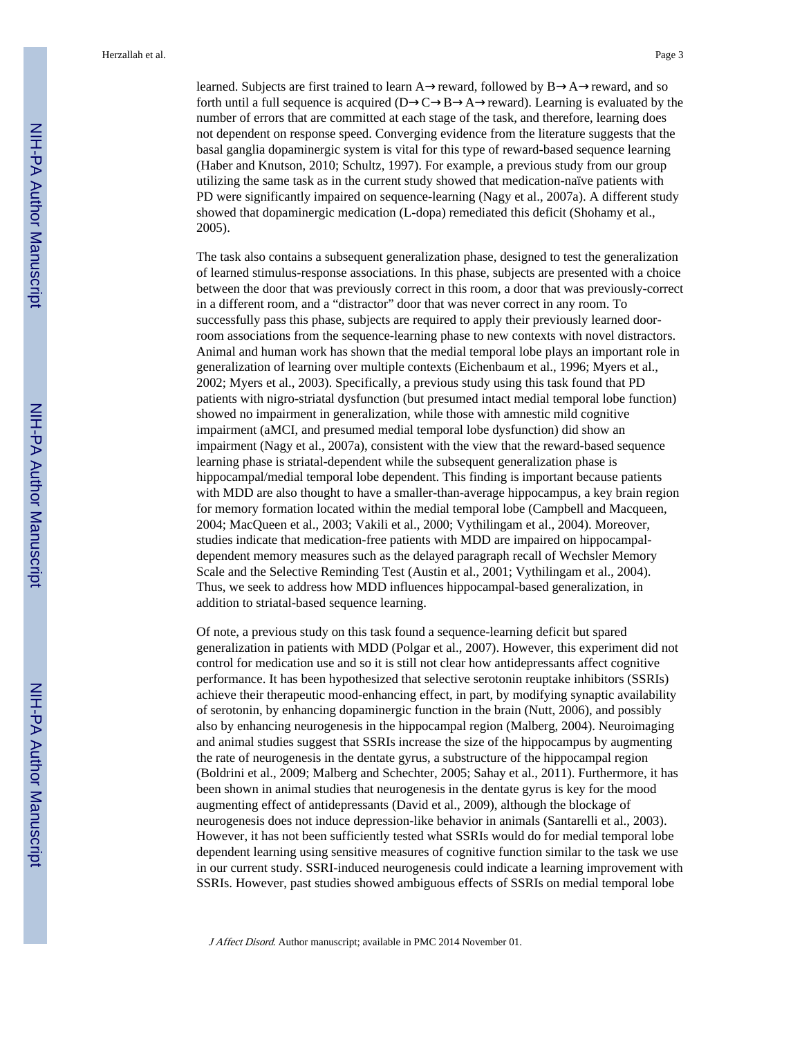learned. Subjects are first trained to learn A reward, followed by B A reward, and so forth until a full sequence is acquired  $(D \ C \ B \ A$  reward). Learning is evaluated by the number of errors that are committed at each stage of the task, and therefore, learning does not dependent on response speed. Converging evidence from the literature suggests that the basal ganglia dopaminergic system is vital for this type of reward-based sequence learning (Haber and Knutson, 2010; Schultz, 1997). For example, a previous study from our group utilizing the same task as in the current study showed that medication-naïve patients with PD were significantly impaired on sequence-learning (Nagy et al., 2007a). A different study showed that dopaminergic medication (L-dopa) remediated this deficit (Shohamy et al., 2005).

The task also contains a subsequent generalization phase, designed to test the generalization of learned stimulus-response associations. In this phase, subjects are presented with a choice between the door that was previously correct in this room, a door that was previously-correct in a different room, and a "distractor" door that was never correct in any room. To successfully pass this phase, subjects are required to apply their previously learned doorroom associations from the sequence-learning phase to new contexts with novel distractors. Animal and human work has shown that the medial temporal lobe plays an important role in generalization of learning over multiple contexts (Eichenbaum et al., 1996; Myers et al., 2002; Myers et al., 2003). Specifically, a previous study using this task found that PD patients with nigro-striatal dysfunction (but presumed intact medial temporal lobe function) showed no impairment in generalization, while those with amnestic mild cognitive impairment (aMCI, and presumed medial temporal lobe dysfunction) did show an impairment (Nagy et al., 2007a), consistent with the view that the reward-based sequence learning phase is striatal-dependent while the subsequent generalization phase is hippocampal/medial temporal lobe dependent. This finding is important because patients with MDD are also thought to have a smaller-than-average hippocampus, a key brain region for memory formation located within the medial temporal lobe (Campbell and Macqueen, 2004; MacQueen et al., 2003; Vakili et al., 2000; Vythilingam et al., 2004). Moreover, studies indicate that medication-free patients with MDD are impaired on hippocampaldependent memory measures such as the delayed paragraph recall of Wechsler Memory Scale and the Selective Reminding Test (Austin et al., 2001; Vythilingam et al., 2004). Thus, we seek to address how MDD influences hippocampal-based generalization, in addition to striatal-based sequence learning.

Of note, a previous study on this task found a sequence-learning deficit but spared generalization in patients with MDD (Polgar et al., 2007). However, this experiment did not control for medication use and so it is still not clear how antidepressants affect cognitive performance. It has been hypothesized that selective serotonin reuptake inhibitors (SSRIs) achieve their therapeutic mood-enhancing effect, in part, by modifying synaptic availability of serotonin, by enhancing dopaminergic function in the brain (Nutt, 2006), and possibly also by enhancing neurogenesis in the hippocampal region (Malberg, 2004). Neuroimaging and animal studies suggest that SSRIs increase the size of the hippocampus by augmenting the rate of neurogenesis in the dentate gyrus, a substructure of the hippocampal region (Boldrini et al., 2009; Malberg and Schechter, 2005; Sahay et al., 2011). Furthermore, it has been shown in animal studies that neurogenesis in the dentate gyrus is key for the mood augmenting effect of antidepressants (David et al., 2009), although the blockage of neurogenesis does not induce depression-like behavior in animals (Santarelli et al., 2003). However, it has not been sufficiently tested what SSRIs would do for medial temporal lobe dependent learning using sensitive measures of cognitive function similar to the task we use in our current study. SSRI-induced neurogenesis could indicate a learning improvement with SSRIs. However, past studies showed ambiguous effects of SSRIs on medial temporal lobe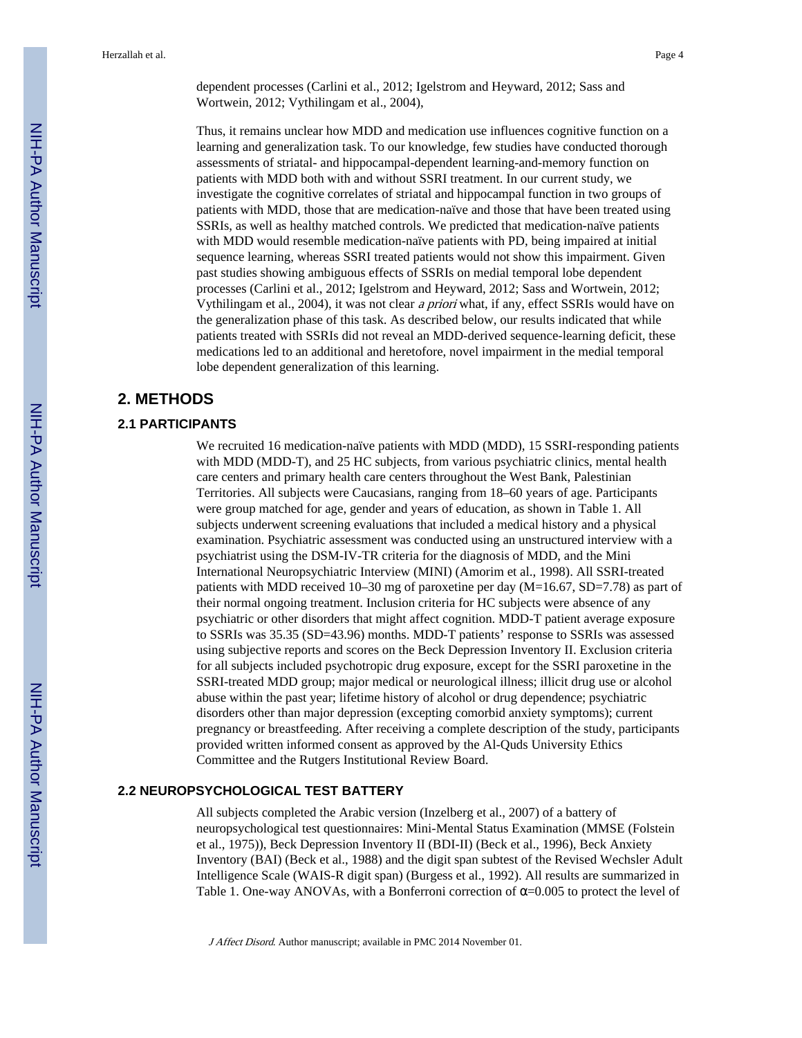dependent processes (Carlini et al., 2012; Igelstrom and Heyward, 2012; Sass and Wortwein, 2012; Vythilingam et al., 2004),

Thus, it remains unclear how MDD and medication use influences cognitive function on a learning and generalization task. To our knowledge, few studies have conducted thorough assessments of striatal- and hippocampal-dependent learning-and-memory function on patients with MDD both with and without SSRI treatment. In our current study, we investigate the cognitive correlates of striatal and hippocampal function in two groups of patients with MDD, those that are medication-naïve and those that have been treated using SSRIs, as well as healthy matched controls. We predicted that medication-naïve patients with MDD would resemble medication-naïve patients with PD, being impaired at initial sequence learning, whereas SSRI treated patients would not show this impairment. Given past studies showing ambiguous effects of SSRIs on medial temporal lobe dependent processes (Carlini et al., 2012; Igelstrom and Heyward, 2012; Sass and Wortwein, 2012; Vythilingam et al., 2004), it was not clear a priori what, if any, effect SSRIs would have on the generalization phase of this task. As described below, our results indicated that while patients treated with SSRIs did not reveal an MDD-derived sequence-learning deficit, these medications led to an additional and heretofore, novel impairment in the medial temporal lobe dependent generalization of this learning.

#### **2. METHODS**

#### **2.1 PARTICIPANTS**

We recruited 16 medication-naïve patients with MDD (MDD), 15 SSRI-responding patients with MDD (MDD-T), and 25 HC subjects, from various psychiatric clinics, mental health care centers and primary health care centers throughout the West Bank, Palestinian Territories. All subjects were Caucasians, ranging from 18–60 years of age. Participants were group matched for age, gender and years of education, as shown in Table 1. All subjects underwent screening evaluations that included a medical history and a physical examination. Psychiatric assessment was conducted using an unstructured interview with a psychiatrist using the DSM-IV-TR criteria for the diagnosis of MDD, and the Mini International Neuropsychiatric Interview (MINI) (Amorim et al., 1998). All SSRI-treated patients with MDD received 10–30 mg of paroxetine per day (M=16.67, SD=7.78) as part of their normal ongoing treatment. Inclusion criteria for HC subjects were absence of any psychiatric or other disorders that might affect cognition. MDD-T patient average exposure to SSRIs was 35.35 (SD=43.96) months. MDD-T patients' response to SSRIs was assessed using subjective reports and scores on the Beck Depression Inventory II. Exclusion criteria for all subjects included psychotropic drug exposure, except for the SSRI paroxetine in the SSRI-treated MDD group; major medical or neurological illness; illicit drug use or alcohol abuse within the past year; lifetime history of alcohol or drug dependence; psychiatric disorders other than major depression (excepting comorbid anxiety symptoms); current pregnancy or breastfeeding. After receiving a complete description of the study, participants provided written informed consent as approved by the Al-Quds University Ethics Committee and the Rutgers Institutional Review Board.

#### **2.2 NEUROPSYCHOLOGICAL TEST BATTERY**

All subjects completed the Arabic version (Inzelberg et al., 2007) of a battery of neuropsychological test questionnaires: Mini-Mental Status Examination (MMSE (Folstein et al., 1975)), Beck Depression Inventory II (BDI-II) (Beck et al., 1996), Beck Anxiety Inventory (BAI) (Beck et al., 1988) and the digit span subtest of the Revised Wechsler Adult Intelligence Scale (WAIS-R digit span) (Burgess et al., 1992). All results are summarized in Table 1. One-way ANOVAs, with a Bonferroni correction of =0.005 to protect the level of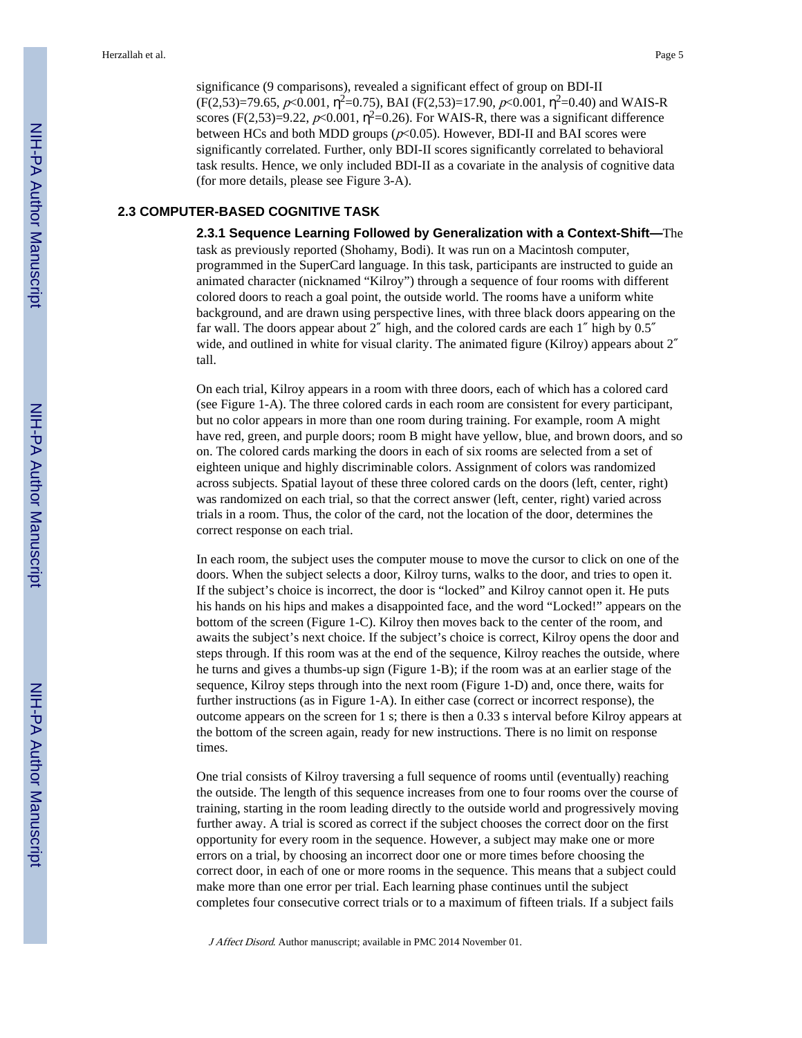significance (9 comparisons), revealed a significant effect of group on BDI-II  $(F(2,53)=79.65, p\le 0.001, \quad \frac{2}{-0.75}$ , BAI  $(F(2,53)=17.90, p\le 0.001, \quad \frac{2}{-0.40}$  and WAIS-R scores (F(2,53)=9.22,  $p<0.001$ , <sup>2</sup>=0.26). For WAIS-R, there was a significant difference between HCs and both MDD groups ( $p \le 0.05$ ). However, BDI-II and BAI scores were significantly correlated. Further, only BDI-II scores significantly correlated to behavioral task results. Hence, we only included BDI-II as a covariate in the analysis of cognitive data (for more details, please see Figure 3-A).

#### **2.3 COMPUTER-BASED COGNITIVE TASK**

**2.3.1 Sequence Learning Followed by Generalization with a Context-Shift—**The task as previously reported (Shohamy, Bodi). It was run on a Macintosh computer, programmed in the SuperCard language. In this task, participants are instructed to guide an animated character (nicknamed "Kilroy") through a sequence of four rooms with different colored doors to reach a goal point, the outside world. The rooms have a uniform white background, and are drawn using perspective lines, with three black doors appearing on the far wall. The doors appear about 2 high, and the colored cards are each 1 high by 0.5 wide, and outlined in white for visual clarity. The animated figure (Kilroy) appears about 2 tall.

On each trial, Kilroy appears in a room with three doors, each of which has a colored card (see Figure 1-A). The three colored cards in each room are consistent for every participant, but no color appears in more than one room during training. For example, room A might have red, green, and purple doors; room B might have yellow, blue, and brown doors, and so on. The colored cards marking the doors in each of six rooms are selected from a set of eighteen unique and highly discriminable colors. Assignment of colors was randomized across subjects. Spatial layout of these three colored cards on the doors (left, center, right) was randomized on each trial, so that the correct answer (left, center, right) varied across trials in a room. Thus, the color of the card, not the location of the door, determines the correct response on each trial.

In each room, the subject uses the computer mouse to move the cursor to click on one of the doors. When the subject selects a door, Kilroy turns, walks to the door, and tries to open it. If the subject's choice is incorrect, the door is "locked" and Kilroy cannot open it. He puts his hands on his hips and makes a disappointed face, and the word "Locked!" appears on the bottom of the screen (Figure 1-C). Kilroy then moves back to the center of the room, and awaits the subject's next choice. If the subject's choice is correct, Kilroy opens the door and steps through. If this room was at the end of the sequence, Kilroy reaches the outside, where he turns and gives a thumbs-up sign (Figure 1-B); if the room was at an earlier stage of the sequence, Kilroy steps through into the next room (Figure 1-D) and, once there, waits for further instructions (as in Figure 1-A). In either case (correct or incorrect response), the outcome appears on the screen for 1 s; there is then a 0.33 s interval before Kilroy appears at the bottom of the screen again, ready for new instructions. There is no limit on response times.

One trial consists of Kilroy traversing a full sequence of rooms until (eventually) reaching the outside. The length of this sequence increases from one to four rooms over the course of training, starting in the room leading directly to the outside world and progressively moving further away. A trial is scored as correct if the subject chooses the correct door on the first opportunity for every room in the sequence. However, a subject may make one or more errors on a trial, by choosing an incorrect door one or more times before choosing the correct door, in each of one or more rooms in the sequence. This means that a subject could make more than one error per trial. Each learning phase continues until the subject completes four consecutive correct trials or to a maximum of fifteen trials. If a subject fails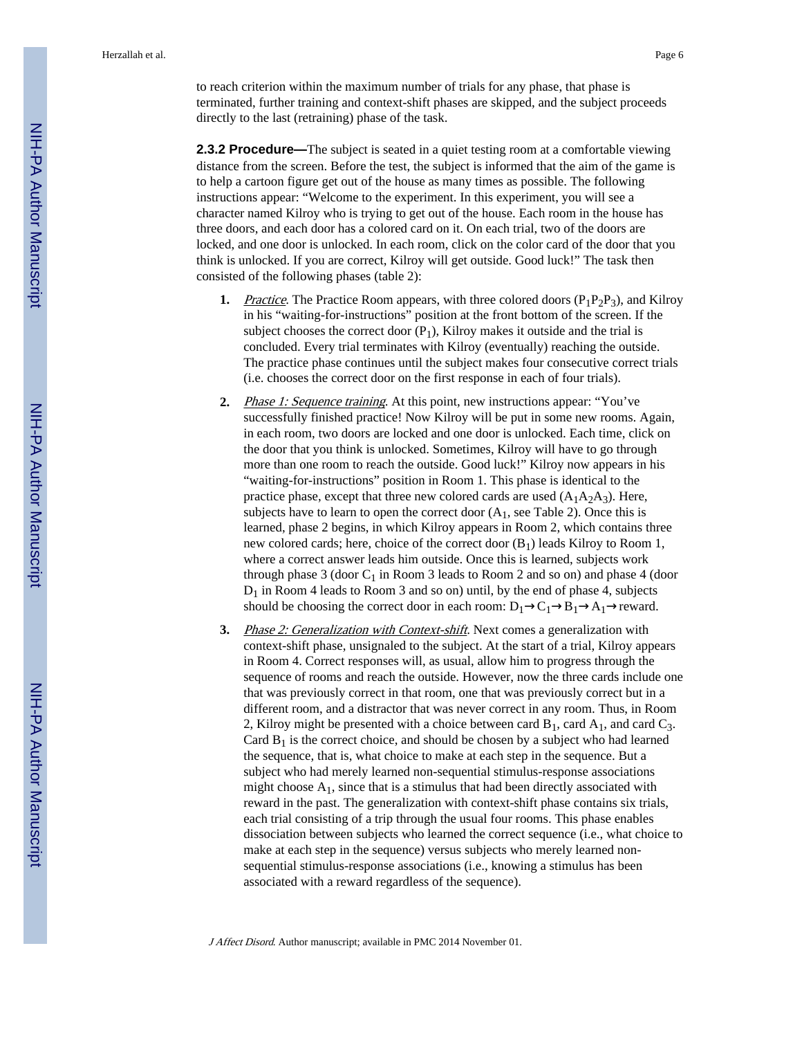to reach criterion within the maximum number of trials for any phase, that phase is terminated, further training and context-shift phases are skipped, and the subject proceeds directly to the last (retraining) phase of the task.

**2.3.2 Procedure—**The subject is seated in a quiet testing room at a comfortable viewing distance from the screen. Before the test, the subject is informed that the aim of the game is to help a cartoon figure get out of the house as many times as possible. The following instructions appear: "Welcome to the experiment. In this experiment, you will see a character named Kilroy who is trying to get out of the house. Each room in the house has three doors, and each door has a colored card on it. On each trial, two of the doors are locked, and one door is unlocked. In each room, click on the color card of the door that you think is unlocked. If you are correct, Kilroy will get outside. Good luck!" The task then consisted of the following phases (table 2):

- **1.** Practice. The Practice Room appears, with three colored doors  $(P_1P_2P_3)$ , and Kilroy in his "waiting-for-instructions" position at the front bottom of the screen. If the subject chooses the correct door  $(P_1)$ , Kilroy makes it outside and the trial is concluded. Every trial terminates with Kilroy (eventually) reaching the outside. The practice phase continues until the subject makes four consecutive correct trials (i.e. chooses the correct door on the first response in each of four trials).
- 2. Phase 1: Sequence training. At this point, new instructions appear: "You've successfully finished practice! Now Kilroy will be put in some new rooms. Again, in each room, two doors are locked and one door is unlocked. Each time, click on the door that you think is unlocked. Sometimes, Kilroy will have to go through more than one room to reach the outside. Good luck!" Kilroy now appears in his "waiting-for-instructions" position in Room 1. This phase is identical to the practice phase, except that three new colored cards are used  $(A_1A_2A_3)$ . Here, subjects have to learn to open the correct door  $(A_1, \text{ see Table 2})$ . Once this is learned, phase 2 begins, in which Kilroy appears in Room 2, which contains three new colored cards; here, choice of the correct door  $(B_1)$  leads Kilroy to Room 1, where a correct answer leads him outside. Once this is learned, subjects work through phase 3 (door  $C_1$  in Room 3 leads to Room 2 and so on) and phase 4 (door  $D_1$  in Room 4 leads to Room 3 and so on) until, by the end of phase 4, subjects should be choosing the correct door in each room:  $D_1$   $C_1$   $B_1$   $A_1$  reward.
- **3.** Phase 2: Generalization with Context-shift. Next comes a generalization with context-shift phase, unsignaled to the subject. At the start of a trial, Kilroy appears in Room 4. Correct responses will, as usual, allow him to progress through the sequence of rooms and reach the outside. However, now the three cards include one that was previously correct in that room, one that was previously correct but in a different room, and a distractor that was never correct in any room. Thus, in Room 2, Kilroy might be presented with a choice between card  $B_1$ , card  $A_1$ , and card  $C_3$ . Card  $B_1$  is the correct choice, and should be chosen by a subject who had learned the sequence, that is, what choice to make at each step in the sequence. But a subject who had merely learned non-sequential stimulus-response associations might choose  $A_1$ , since that is a stimulus that had been directly associated with reward in the past. The generalization with context-shift phase contains six trials, each trial consisting of a trip through the usual four rooms. This phase enables dissociation between subjects who learned the correct sequence (i.e., what choice to make at each step in the sequence) versus subjects who merely learned nonsequential stimulus-response associations (i.e., knowing a stimulus has been associated with a reward regardless of the sequence).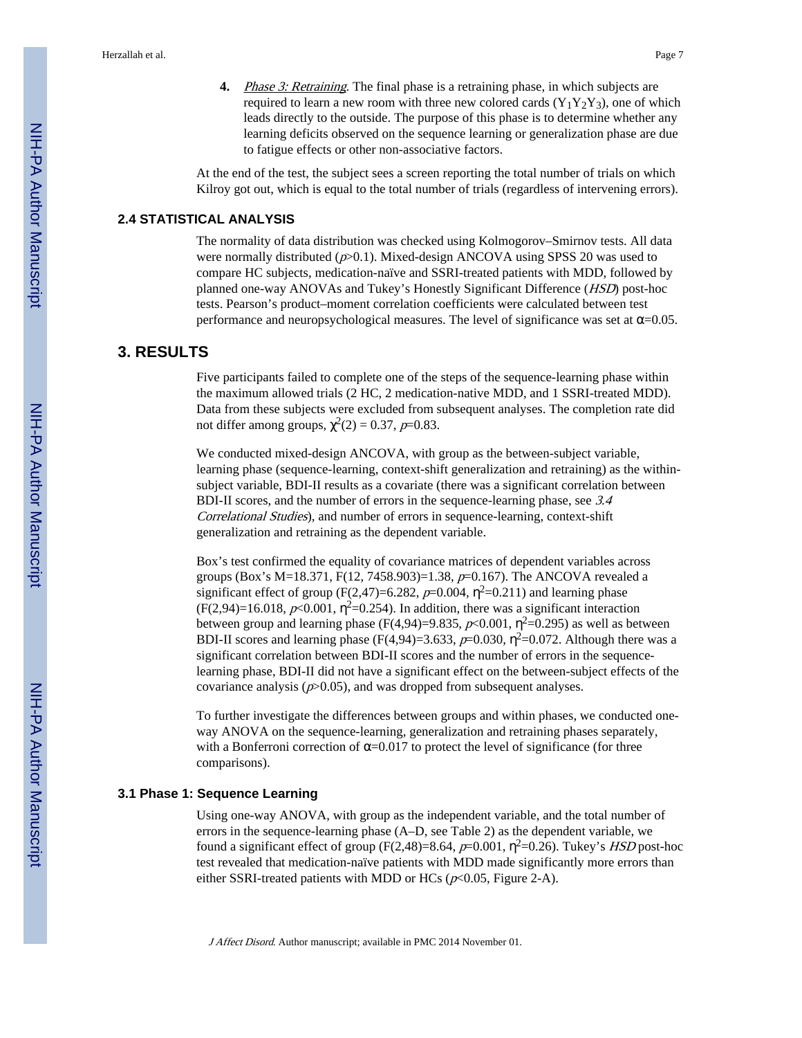**4.** Phase 3: Retraining. The final phase is a retraining phase, in which subjects are required to learn a new room with three new colored cards  $(Y_1Y_2Y_3)$ , one of which leads directly to the outside. The purpose of this phase is to determine whether any learning deficits observed on the sequence learning or generalization phase are due to fatigue effects or other non-associative factors.

At the end of the test, the subject sees a screen reporting the total number of trials on which Kilroy got out, which is equal to the total number of trials (regardless of intervening errors).

#### **2.4 STATISTICAL ANALYSIS**

The normality of data distribution was checked using Kolmogorov–Smirnov tests. All data were normally distributed ( $p > 0.1$ ). Mixed-design ANCOVA using SPSS 20 was used to compare HC subjects, medication-naïve and SSRI-treated patients with MDD, followed by planned one-way ANOVAs and Tukey's Honestly Significant Difference (HSD) post-hoc tests. Pearson's product–moment correlation coefficients were calculated between test performance and neuropsychological measures. The level of significance was set at  $=0.05$ .

#### **3. RESULTS**

Five participants failed to complete one of the steps of the sequence-learning phase within the maximum allowed trials (2 HC, 2 medication-native MDD, and 1 SSRI-treated MDD). Data from these subjects were excluded from subsequent analyses. The completion rate did not differ among groups,  $^2(2) = 0.37$ ,  $p=0.83$ .

We conducted mixed-design ANCOVA, with group as the between-subject variable, learning phase (sequence-learning, context-shift generalization and retraining) as the withinsubject variable, BDI-II results as a covariate (there was a significant correlation between BDI-II scores, and the number of errors in the sequence-learning phase, see 3.4 Correlational Studies), and number of errors in sequence-learning, context-shift generalization and retraining as the dependent variable.

Box's test confirmed the equality of covariance matrices of dependent variables across groups (Box's M=18.371, F(12, 7458.903)=1.38, p=0.167). The ANCOVA revealed a significant effect of group (F(2,47)=6.282,  $p=0.004$ , <sup>2</sup>=0.211) and learning phase  $(F(2,94)=16.018, p<0.001, \quad 2=0.254$ ). In addition, there was a significant interaction between group and learning phase (F(4,94)=9.835,  $p$ <0.001, <sup>2</sup>=0.295) as well as between BDI-II scores and learning phase  $(F(4, 94)=3.633, p=0.030, \frac{2}{-0.072}$ . Although there was a significant correlation between BDI-II scores and the number of errors in the sequencelearning phase, BDI-II did not have a significant effect on the between-subject effects of the covariance analysis  $(p>0.05)$ , and was dropped from subsequent analyses.

To further investigate the differences between groups and within phases, we conducted oneway ANOVA on the sequence-learning, generalization and retraining phases separately, with a Bonferroni correction of  $=0.017$  to protect the level of significance (for three comparisons).

#### **3.1 Phase 1: Sequence Learning**

Using one-way ANOVA, with group as the independent variable, and the total number of errors in the sequence-learning phase (A–D, see Table 2) as the dependent variable, we found a significant effect of group (F(2,48)=8.64,  $p=0.001$ ,  $\frac{2}{0.26}$ ). Tukey's *HSD* post-hoc test revealed that medication-naïve patients with MDD made significantly more errors than either SSRI-treated patients with MDD or HCs ( $p<0.05$ , Figure 2-A).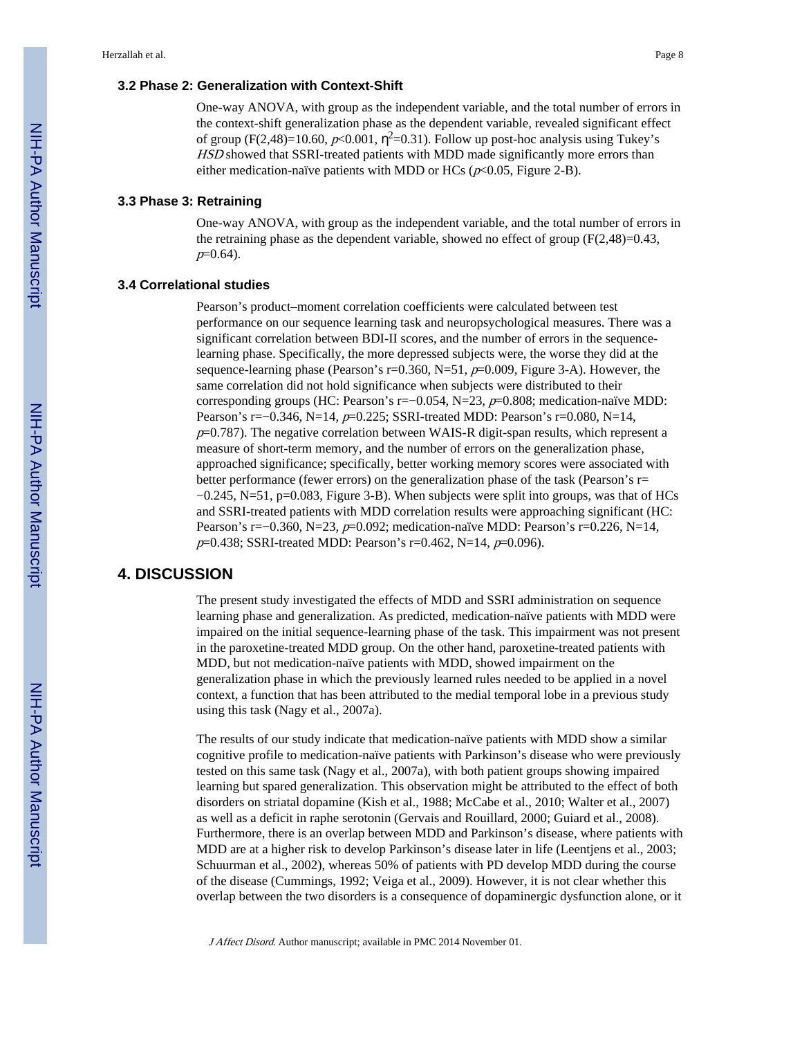#### **3.2 Phase 2: Generalization with Context-Shift**

One-way ANOVA, with group as the independent variable, and the total number of errors in the context-shift generalization phase as the dependent variable, revealed significant effect of group (F(2,48)=10.60,  $p<0.001$ , <sup>2</sup>=0.31). Follow up post-hoc analysis using Tukey's HSD showed that SSRI-treated patients with MDD made significantly more errors than either medication-naïve patients with MDD or HCs ( $p \le 0.05$ , Figure 2-B).

#### **3.3 Phase 3: Retraining**

One-way ANOVA, with group as the independent variable, and the total number of errors in the retraining phase as the dependent variable, showed no effect of group  $(F(2,48)=0.43)$ ,  $p=0.64$ ).

#### **3.4 Correlational studies**

Pearson's product–moment correlation coefficients were calculated between test performance on our sequence learning task and neuropsychological measures. There was a significant correlation between BDI-II scores, and the number of errors in the sequencelearning phase. Specifically, the more depressed subjects were, the worse they did at the sequence-learning phase (Pearson's r=0.360, N=51,  $p=0.009$ , Figure 3-A). However, the same correlation did not hold significance when subjects were distributed to their corresponding groups (HC: Pearson's r=−0.054, N=23,  $p=0.808$ ; medication-naïve MDD: Pearson's r=−0.346, N=14, p=0.225; SSRI-treated MDD: Pearson's r=0.080, N=14,  $p=0.787$ ). The negative correlation between WAIS-R digit-span results, which represent a measure of short-term memory, and the number of errors on the generalization phase, approached significance; specifically, better working memory scores were associated with better performance (fewer errors) on the generalization phase of the task (Pearson's r= −0.245, N=51, p=0.083, Figure 3-B). When subjects were split into groups, was that of HCs and SSRI-treated patients with MDD correlation results were approaching significant (HC: Pearson's r=−0.360, N=23, p=0.092; medication-naïve MDD: Pearson's r=0.226, N=14,  $p=0.438$ ; SSRI-treated MDD: Pearson's r=0.462, N=14,  $p=0.096$ ).

#### **4. DISCUSSION**

The present study investigated the effects of MDD and SSRI administration on sequence learning phase and generalization. As predicted, medication-naïve patients with MDD were impaired on the initial sequence-learning phase of the task. This impairment was not present in the paroxetine-treated MDD group. On the other hand, paroxetine-treated patients with MDD, but not medication-naïve patients with MDD, showed impairment on the generalization phase in which the previously learned rules needed to be applied in a novel context, a function that has been attributed to the medial temporal lobe in a previous study using this task (Nagy et al., 2007a).

The results of our study indicate that medication-naïve patients with MDD show a similar cognitive profile to medication-naïve patients with Parkinson's disease who were previously tested on this same task (Nagy et al., 2007a), with both patient groups showing impaired learning but spared generalization. This observation might be attributed to the effect of both disorders on striatal dopamine (Kish et al., 1988; McCabe et al., 2010; Walter et al., 2007) as well as a deficit in raphe serotonin (Gervais and Rouillard, 2000; Guiard et al., 2008). Furthermore, there is an overlap between MDD and Parkinson's disease, where patients with MDD are at a higher risk to develop Parkinson's disease later in life (Leentjens et al., 2003; Schuurman et al., 2002), whereas 50% of patients with PD develop MDD during the course of the disease (Cummings, 1992; Veiga et al., 2009). However, it is not clear whether this overlap between the two disorders is a consequence of dopaminergic dysfunction alone, or it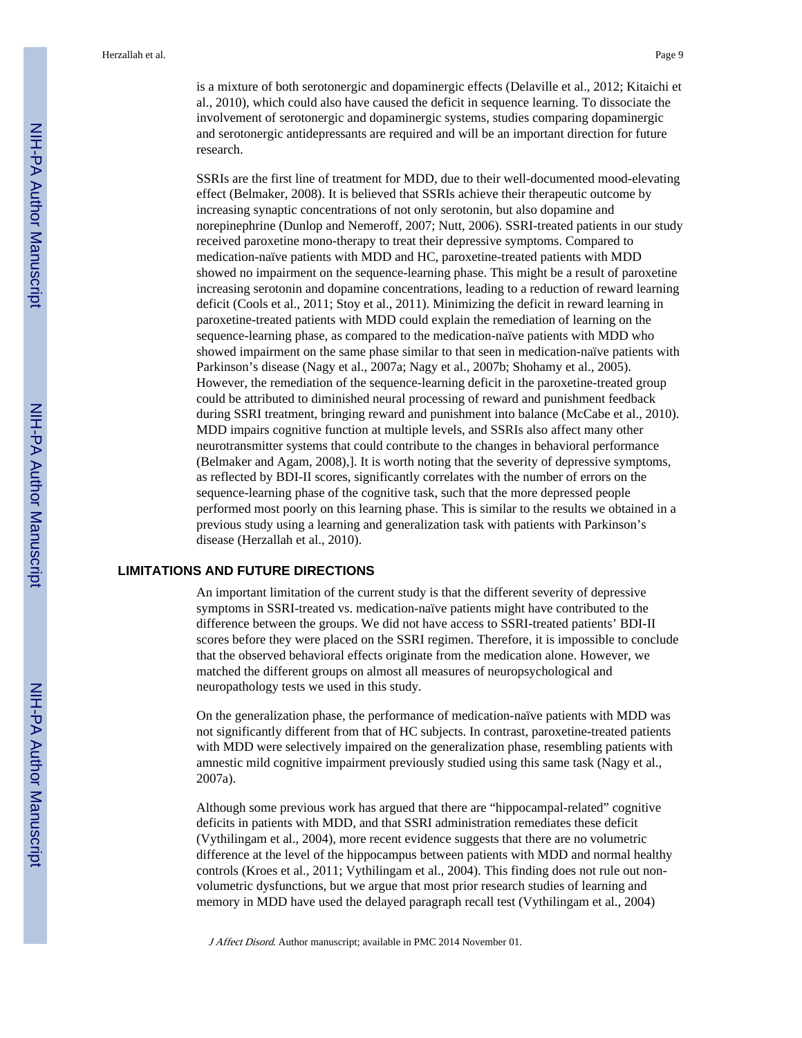is a mixture of both serotonergic and dopaminergic effects (Delaville et al., 2012; Kitaichi et al., 2010), which could also have caused the deficit in sequence learning. To dissociate the involvement of serotonergic and dopaminergic systems, studies comparing dopaminergic and serotonergic antidepressants are required and will be an important direction for future research.

SSRIs are the first line of treatment for MDD, due to their well-documented mood-elevating effect (Belmaker, 2008). It is believed that SSRIs achieve their therapeutic outcome by increasing synaptic concentrations of not only serotonin, but also dopamine and norepinephrine (Dunlop and Nemeroff, 2007; Nutt, 2006). SSRI-treated patients in our study received paroxetine mono-therapy to treat their depressive symptoms. Compared to medication-naïve patients with MDD and HC, paroxetine-treated patients with MDD showed no impairment on the sequence-learning phase. This might be a result of paroxetine increasing serotonin and dopamine concentrations, leading to a reduction of reward learning deficit (Cools et al., 2011; Stoy et al., 2011). Minimizing the deficit in reward learning in paroxetine-treated patients with MDD could explain the remediation of learning on the sequence-learning phase, as compared to the medication-naïve patients with MDD who showed impairment on the same phase similar to that seen in medication-naïve patients with Parkinson's disease (Nagy et al., 2007a; Nagy et al., 2007b; Shohamy et al., 2005). However, the remediation of the sequence-learning deficit in the paroxetine-treated group could be attributed to diminished neural processing of reward and punishment feedback during SSRI treatment, bringing reward and punishment into balance (McCabe et al., 2010). MDD impairs cognitive function at multiple levels, and SSRIs also affect many other neurotransmitter systems that could contribute to the changes in behavioral performance (Belmaker and Agam, 2008),]. It is worth noting that the severity of depressive symptoms, as reflected by BDI-II scores, significantly correlates with the number of errors on the sequence-learning phase of the cognitive task, such that the more depressed people performed most poorly on this learning phase. This is similar to the results we obtained in a previous study using a learning and generalization task with patients with Parkinson's disease (Herzallah et al., 2010).

#### **LIMITATIONS AND FUTURE DIRECTIONS**

An important limitation of the current study is that the different severity of depressive symptoms in SSRI-treated vs. medication-naïve patients might have contributed to the difference between the groups. We did not have access to SSRI-treated patients' BDI-II scores before they were placed on the SSRI regimen. Therefore, it is impossible to conclude that the observed behavioral effects originate from the medication alone. However, we matched the different groups on almost all measures of neuropsychological and neuropathology tests we used in this study.

On the generalization phase, the performance of medication-naïve patients with MDD was not significantly different from that of HC subjects. In contrast, paroxetine-treated patients with MDD were selectively impaired on the generalization phase, resembling patients with amnestic mild cognitive impairment previously studied using this same task (Nagy et al., 2007a).

Although some previous work has argued that there are "hippocampal-related" cognitive deficits in patients with MDD, and that SSRI administration remediates these deficit (Vythilingam et al., 2004), more recent evidence suggests that there are no volumetric difference at the level of the hippocampus between patients with MDD and normal healthy controls (Kroes et al., 2011; Vythilingam et al., 2004). This finding does not rule out nonvolumetric dysfunctions, but we argue that most prior research studies of learning and memory in MDD have used the delayed paragraph recall test (Vythilingam et al., 2004)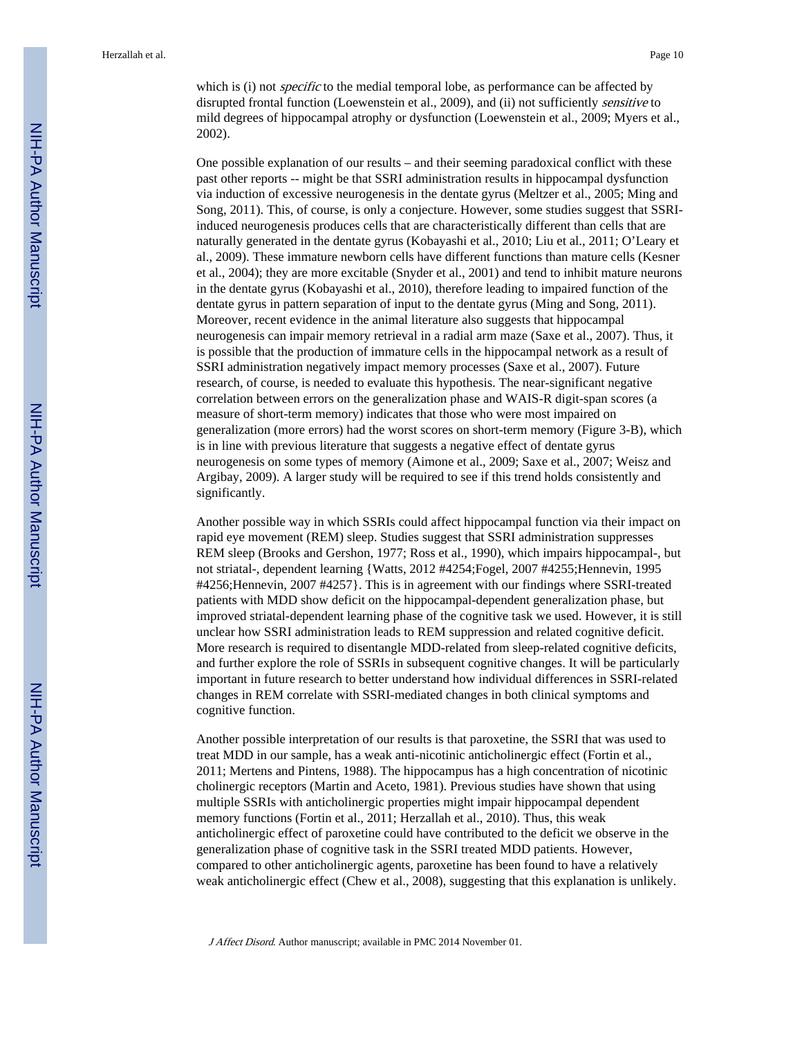which is (i) not *specific* to the medial temporal lobe, as performance can be affected by disrupted frontal function (Loewenstein et al., 2009), and (ii) not sufficiently *sensitive* to mild degrees of hippocampal atrophy or dysfunction (Loewenstein et al., 2009; Myers et al., 2002).

One possible explanation of our results – and their seeming paradoxical conflict with these past other reports -- might be that SSRI administration results in hippocampal dysfunction via induction of excessive neurogenesis in the dentate gyrus (Meltzer et al., 2005; Ming and Song, 2011). This, of course, is only a conjecture. However, some studies suggest that SSRIinduced neurogenesis produces cells that are characteristically different than cells that are naturally generated in the dentate gyrus (Kobayashi et al., 2010; Liu et al., 2011; O'Leary et al., 2009). These immature newborn cells have different functions than mature cells (Kesner et al., 2004); they are more excitable (Snyder et al., 2001) and tend to inhibit mature neurons in the dentate gyrus (Kobayashi et al., 2010), therefore leading to impaired function of the dentate gyrus in pattern separation of input to the dentate gyrus (Ming and Song, 2011). Moreover, recent evidence in the animal literature also suggests that hippocampal neurogenesis can impair memory retrieval in a radial arm maze (Saxe et al., 2007). Thus, it is possible that the production of immature cells in the hippocampal network as a result of SSRI administration negatively impact memory processes (Saxe et al., 2007). Future research, of course, is needed to evaluate this hypothesis. The near-significant negative correlation between errors on the generalization phase and WAIS-R digit-span scores (a measure of short-term memory) indicates that those who were most impaired on generalization (more errors) had the worst scores on short-term memory (Figure 3-B), which is in line with previous literature that suggests a negative effect of dentate gyrus neurogenesis on some types of memory (Aimone et al., 2009; Saxe et al., 2007; Weisz and Argibay, 2009). A larger study will be required to see if this trend holds consistently and significantly.

Another possible way in which SSRIs could affect hippocampal function via their impact on rapid eye movement (REM) sleep. Studies suggest that SSRI administration suppresses REM sleep (Brooks and Gershon, 1977; Ross et al., 1990), which impairs hippocampal-, but not striatal-, dependent learning {Watts, 2012 #4254;Fogel, 2007 #4255;Hennevin, 1995 #4256;Hennevin, 2007 #4257}. This is in agreement with our findings where SSRI-treated patients with MDD show deficit on the hippocampal-dependent generalization phase, but improved striatal-dependent learning phase of the cognitive task we used. However, it is still unclear how SSRI administration leads to REM suppression and related cognitive deficit. More research is required to disentangle MDD-related from sleep-related cognitive deficits, and further explore the role of SSRIs in subsequent cognitive changes. It will be particularly important in future research to better understand how individual differences in SSRI-related changes in REM correlate with SSRI-mediated changes in both clinical symptoms and cognitive function.

Another possible interpretation of our results is that paroxetine, the SSRI that was used to treat MDD in our sample, has a weak anti-nicotinic anticholinergic effect (Fortin et al., 2011; Mertens and Pintens, 1988). The hippocampus has a high concentration of nicotinic cholinergic receptors (Martin and Aceto, 1981). Previous studies have shown that using multiple SSRIs with anticholinergic properties might impair hippocampal dependent memory functions (Fortin et al., 2011; Herzallah et al., 2010). Thus, this weak anticholinergic effect of paroxetine could have contributed to the deficit we observe in the generalization phase of cognitive task in the SSRI treated MDD patients. However, compared to other anticholinergic agents, paroxetine has been found to have a relatively weak anticholinergic effect (Chew et al., 2008), suggesting that this explanation is unlikely.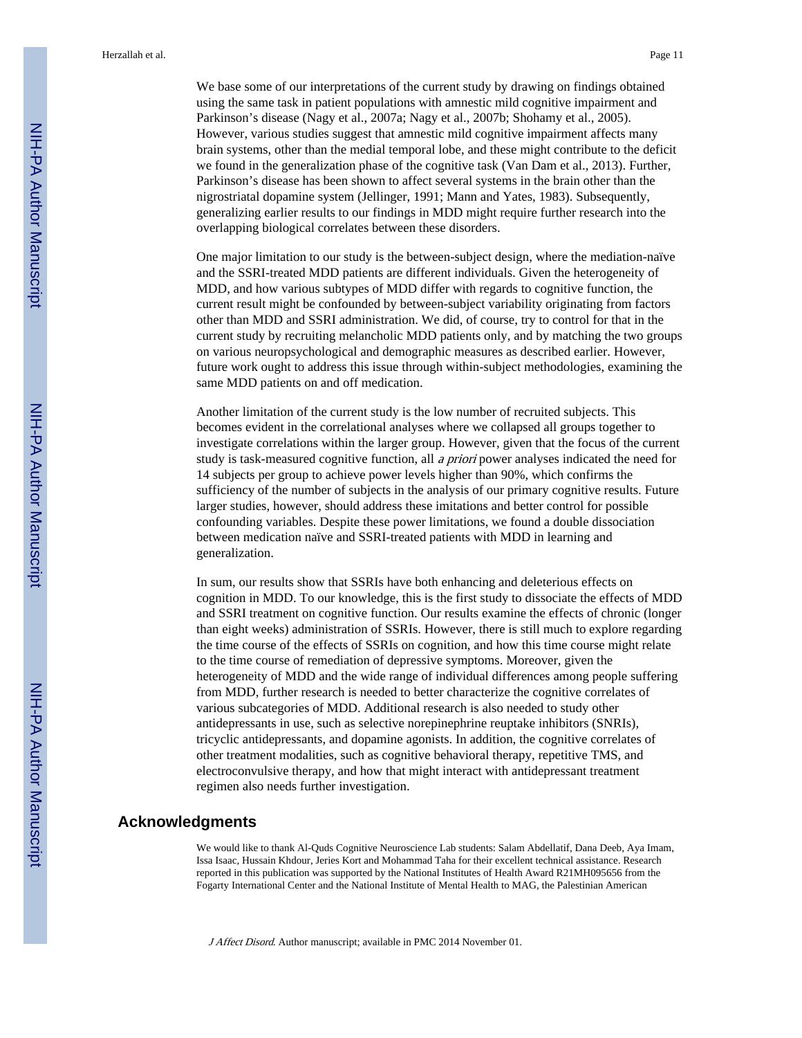We base some of our interpretations of the current study by drawing on findings obtained using the same task in patient populations with amnestic mild cognitive impairment and Parkinson's disease (Nagy et al., 2007a; Nagy et al., 2007b; Shohamy et al., 2005). However, various studies suggest that amnestic mild cognitive impairment affects many brain systems, other than the medial temporal lobe, and these might contribute to the deficit we found in the generalization phase of the cognitive task (Van Dam et al., 2013). Further, Parkinson's disease has been shown to affect several systems in the brain other than the nigrostriatal dopamine system (Jellinger, 1991; Mann and Yates, 1983). Subsequently, generalizing earlier results to our findings in MDD might require further research into the overlapping biological correlates between these disorders.

One major limitation to our study is the between-subject design, where the mediation-naïve and the SSRI-treated MDD patients are different individuals. Given the heterogeneity of MDD, and how various subtypes of MDD differ with regards to cognitive function, the current result might be confounded by between-subject variability originating from factors other than MDD and SSRI administration. We did, of course, try to control for that in the current study by recruiting melancholic MDD patients only, and by matching the two groups on various neuropsychological and demographic measures as described earlier. However, future work ought to address this issue through within-subject methodologies, examining the same MDD patients on and off medication.

Another limitation of the current study is the low number of recruited subjects. This becomes evident in the correlational analyses where we collapsed all groups together to investigate correlations within the larger group. However, given that the focus of the current study is task-measured cognitive function, all a priori power analyses indicated the need for 14 subjects per group to achieve power levels higher than 90%, which confirms the sufficiency of the number of subjects in the analysis of our primary cognitive results. Future larger studies, however, should address these imitations and better control for possible confounding variables. Despite these power limitations, we found a double dissociation between medication naïve and SSRI-treated patients with MDD in learning and generalization.

In sum, our results show that SSRIs have both enhancing and deleterious effects on cognition in MDD. To our knowledge, this is the first study to dissociate the effects of MDD and SSRI treatment on cognitive function. Our results examine the effects of chronic (longer than eight weeks) administration of SSRIs. However, there is still much to explore regarding the time course of the effects of SSRIs on cognition, and how this time course might relate to the time course of remediation of depressive symptoms. Moreover, given the heterogeneity of MDD and the wide range of individual differences among people suffering from MDD, further research is needed to better characterize the cognitive correlates of various subcategories of MDD. Additional research is also needed to study other antidepressants in use, such as selective norepinephrine reuptake inhibitors (SNRIs), tricyclic antidepressants, and dopamine agonists. In addition, the cognitive correlates of other treatment modalities, such as cognitive behavioral therapy, repetitive TMS, and electroconvulsive therapy, and how that might interact with antidepressant treatment regimen also needs further investigation.

#### **Acknowledgments**

We would like to thank Al-Quds Cognitive Neuroscience Lab students: Salam Abdellatif, Dana Deeb, Aya Imam, Issa Isaac, Hussain Khdour, Jeries Kort and Mohammad Taha for their excellent technical assistance. Research reported in this publication was supported by the National Institutes of Health Award R21MH095656 from the Fogarty International Center and the National Institute of Mental Health to MAG, the Palestinian American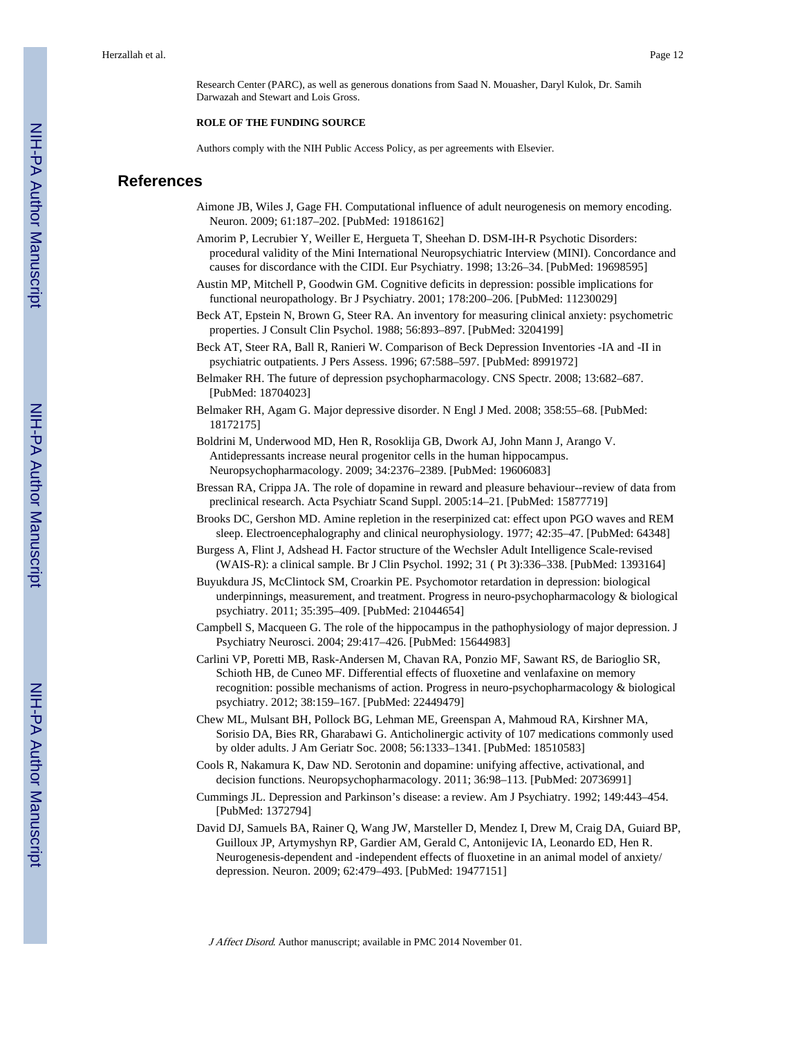Research Center (PARC), as well as generous donations from Saad N. Mouasher, Daryl Kulok, Dr. Samih Darwazah and Stewart and Lois Gross.

#### **ROLE OF THE FUNDING SOURCE**

Authors comply with the NIH Public Access Policy, as per agreements with Elsevier.

#### **References**

- Aimone JB, Wiles J, Gage FH. Computational influence of adult neurogenesis on memory encoding. Neuron. 2009; 61:187–202. [PubMed: 19186162]
- Amorim P, Lecrubier Y, Weiller E, Hergueta T, Sheehan D. DSM-IH-R Psychotic Disorders: procedural validity of the Mini International Neuropsychiatric Interview (MINI). Concordance and causes for discordance with the CIDI. Eur Psychiatry. 1998; 13:26–34. [PubMed: 19698595]
- Austin MP, Mitchell P, Goodwin GM. Cognitive deficits in depression: possible implications for functional neuropathology. Br J Psychiatry. 2001; 178:200–206. [PubMed: 11230029]
- Beck AT, Epstein N, Brown G, Steer RA. An inventory for measuring clinical anxiety: psychometric properties. J Consult Clin Psychol. 1988; 56:893–897. [PubMed: 3204199]
- Beck AT, Steer RA, Ball R, Ranieri W. Comparison of Beck Depression Inventories -IA and -II in psychiatric outpatients. J Pers Assess. 1996; 67:588–597. [PubMed: 8991972]
- Belmaker RH. The future of depression psychopharmacology. CNS Spectr. 2008; 13:682–687. [PubMed: 18704023]
- Belmaker RH, Agam G. Major depressive disorder. N Engl J Med. 2008; 358:55–68. [PubMed: 18172175]
- Boldrini M, Underwood MD, Hen R, Rosoklija GB, Dwork AJ, John Mann J, Arango V. Antidepressants increase neural progenitor cells in the human hippocampus. Neuropsychopharmacology. 2009; 34:2376–2389. [PubMed: 19606083]
- Bressan RA, Crippa JA. The role of dopamine in reward and pleasure behaviour--review of data from preclinical research. Acta Psychiatr Scand Suppl. 2005:14–21. [PubMed: 15877719]
- Brooks DC, Gershon MD. Amine repletion in the reserpinized cat: effect upon PGO waves and REM sleep. Electroencephalography and clinical neurophysiology. 1977; 42:35–47. [PubMed: 64348]
- Burgess A, Flint J, Adshead H. Factor structure of the Wechsler Adult Intelligence Scale-revised (WAIS-R): a clinical sample. Br J Clin Psychol. 1992; 31 ( Pt 3):336–338. [PubMed: 1393164]
- Buyukdura JS, McClintock SM, Croarkin PE. Psychomotor retardation in depression: biological underpinnings, measurement, and treatment. Progress in neuro-psychopharmacology & biological psychiatry. 2011; 35:395–409. [PubMed: 21044654]
- Campbell S, Macqueen G. The role of the hippocampus in the pathophysiology of major depression. J Psychiatry Neurosci. 2004; 29:417–426. [PubMed: 15644983]
- Carlini VP, Poretti MB, Rask-Andersen M, Chavan RA, Ponzio MF, Sawant RS, de Barioglio SR, Schioth HB, de Cuneo MF. Differential effects of fluoxetine and venlafaxine on memory recognition: possible mechanisms of action. Progress in neuro-psychopharmacology & biological psychiatry. 2012; 38:159–167. [PubMed: 22449479]
- Chew ML, Mulsant BH, Pollock BG, Lehman ME, Greenspan A, Mahmoud RA, Kirshner MA, Sorisio DA, Bies RR, Gharabawi G. Anticholinergic activity of 107 medications commonly used by older adults. J Am Geriatr Soc. 2008; 56:1333–1341. [PubMed: 18510583]
- Cools R, Nakamura K, Daw ND. Serotonin and dopamine: unifying affective, activational, and decision functions. Neuropsychopharmacology. 2011; 36:98–113. [PubMed: 20736991]
- Cummings JL. Depression and Parkinson's disease: a review. Am J Psychiatry. 1992; 149:443–454. [PubMed: 1372794]
- David DJ, Samuels BA, Rainer Q, Wang JW, Marsteller D, Mendez I, Drew M, Craig DA, Guiard BP, Guilloux JP, Artymyshyn RP, Gardier AM, Gerald C, Antonijevic IA, Leonardo ED, Hen R. Neurogenesis-dependent and -independent effects of fluoxetine in an animal model of anxiety/ depression. Neuron. 2009; 62:479–493. [PubMed: 19477151]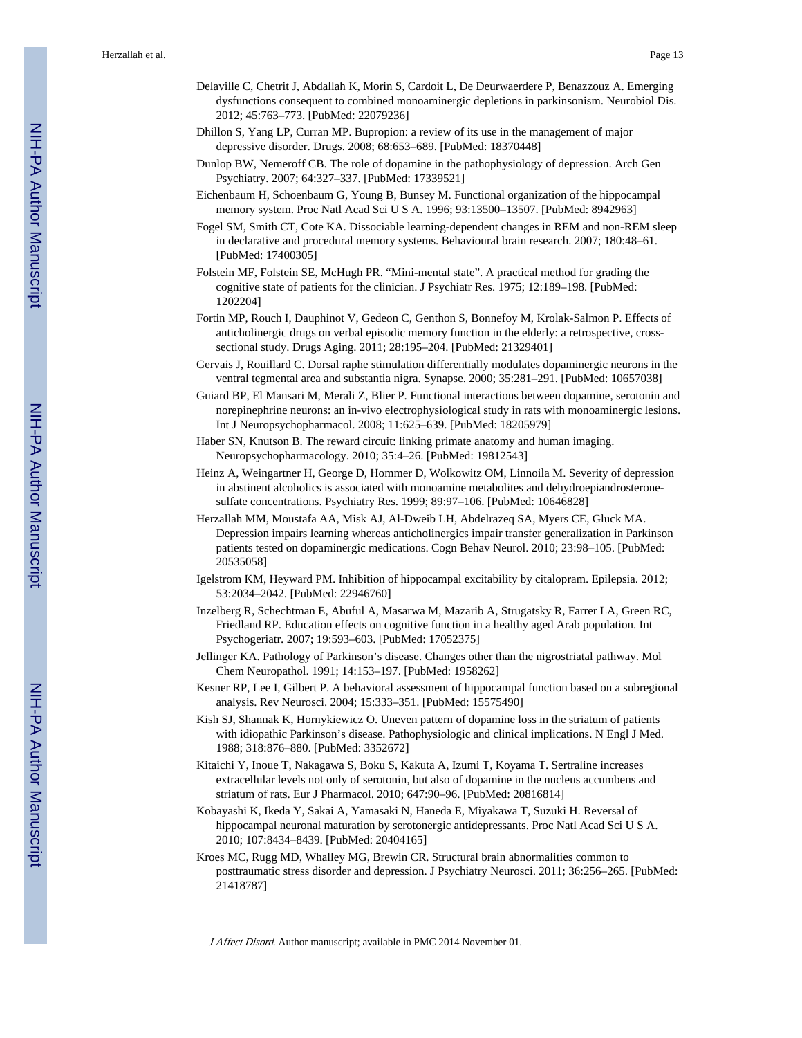- Delaville C, Chetrit J, Abdallah K, Morin S, Cardoit L, De Deurwaerdere P, Benazzouz A. Emerging dysfunctions consequent to combined monoaminergic depletions in parkinsonism. Neurobiol Dis. 2012; 45:763–773. [PubMed: 22079236]
- Dhillon S, Yang LP, Curran MP. Bupropion: a review of its use in the management of major depressive disorder. Drugs. 2008; 68:653–689. [PubMed: 18370448]
- Dunlop BW, Nemeroff CB. The role of dopamine in the pathophysiology of depression. Arch Gen Psychiatry. 2007; 64:327–337. [PubMed: 17339521]
- Eichenbaum H, Schoenbaum G, Young B, Bunsey M. Functional organization of the hippocampal memory system. Proc Natl Acad Sci U S A. 1996; 93:13500–13507. [PubMed: 8942963]
- Fogel SM, Smith CT, Cote KA. Dissociable learning-dependent changes in REM and non-REM sleep in declarative and procedural memory systems. Behavioural brain research. 2007; 180:48–61. [PubMed: 17400305]
- Folstein MF, Folstein SE, McHugh PR. "Mini-mental state". A practical method for grading the cognitive state of patients for the clinician. J Psychiatr Res. 1975; 12:189–198. [PubMed: 1202204]
- Fortin MP, Rouch I, Dauphinot V, Gedeon C, Genthon S, Bonnefoy M, Krolak-Salmon P. Effects of anticholinergic drugs on verbal episodic memory function in the elderly: a retrospective, crosssectional study. Drugs Aging. 2011; 28:195–204. [PubMed: 21329401]
- Gervais J, Rouillard C. Dorsal raphe stimulation differentially modulates dopaminergic neurons in the ventral tegmental area and substantia nigra. Synapse. 2000; 35:281–291. [PubMed: 10657038]
- Guiard BP, El Mansari M, Merali Z, Blier P. Functional interactions between dopamine, serotonin and norepinephrine neurons: an in-vivo electrophysiological study in rats with monoaminergic lesions. Int J Neuropsychopharmacol. 2008; 11:625–639. [PubMed: 18205979]
- Haber SN, Knutson B. The reward circuit: linking primate anatomy and human imaging. Neuropsychopharmacology. 2010; 35:4–26. [PubMed: 19812543]
- Heinz A, Weingartner H, George D, Hommer D, Wolkowitz OM, Linnoila M. Severity of depression in abstinent alcoholics is associated with monoamine metabolites and dehydroepiandrosteronesulfate concentrations. Psychiatry Res. 1999; 89:97–106. [PubMed: 10646828]
- Herzallah MM, Moustafa AA, Misk AJ, Al-Dweib LH, Abdelrazeq SA, Myers CE, Gluck MA. Depression impairs learning whereas anticholinergics impair transfer generalization in Parkinson patients tested on dopaminergic medications. Cogn Behav Neurol. 2010; 23:98–105. [PubMed: 20535058]
- Igelstrom KM, Heyward PM. Inhibition of hippocampal excitability by citalopram. Epilepsia. 2012; 53:2034–2042. [PubMed: 22946760]
- Inzelberg R, Schechtman E, Abuful A, Masarwa M, Mazarib A, Strugatsky R, Farrer LA, Green RC, Friedland RP. Education effects on cognitive function in a healthy aged Arab population. Int Psychogeriatr. 2007; 19:593–603. [PubMed: 17052375]
- Jellinger KA. Pathology of Parkinson's disease. Changes other than the nigrostriatal pathway. Mol Chem Neuropathol. 1991; 14:153–197. [PubMed: 1958262]
- Kesner RP, Lee I, Gilbert P. A behavioral assessment of hippocampal function based on a subregional analysis. Rev Neurosci. 2004; 15:333–351. [PubMed: 15575490]
- Kish SJ, Shannak K, Hornykiewicz O. Uneven pattern of dopamine loss in the striatum of patients with idiopathic Parkinson's disease. Pathophysiologic and clinical implications. N Engl J Med. 1988; 318:876–880. [PubMed: 3352672]
- Kitaichi Y, Inoue T, Nakagawa S, Boku S, Kakuta A, Izumi T, Koyama T. Sertraline increases extracellular levels not only of serotonin, but also of dopamine in the nucleus accumbens and striatum of rats. Eur J Pharmacol. 2010; 647:90–96. [PubMed: 20816814]
- Kobayashi K, Ikeda Y, Sakai A, Yamasaki N, Haneda E, Miyakawa T, Suzuki H. Reversal of hippocampal neuronal maturation by serotonergic antidepressants. Proc Natl Acad Sci U S A. 2010; 107:8434–8439. [PubMed: 20404165]
- Kroes MC, Rugg MD, Whalley MG, Brewin CR. Structural brain abnormalities common to posttraumatic stress disorder and depression. J Psychiatry Neurosci. 2011; 36:256–265. [PubMed: 21418787]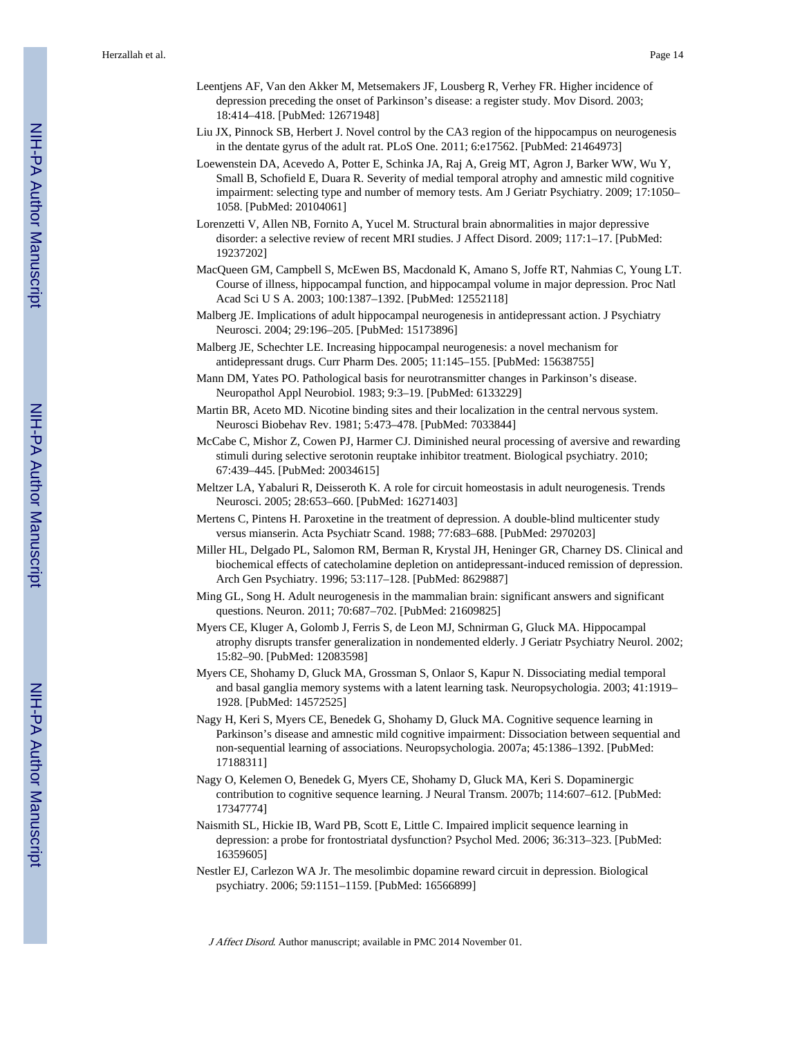- Leentjens AF, Van den Akker M, Metsemakers JF, Lousberg R, Verhey FR. Higher incidence of depression preceding the onset of Parkinson's disease: a register study. Mov Disord. 2003; 18:414–418. [PubMed: 12671948]
- Liu JX, Pinnock SB, Herbert J. Novel control by the CA3 region of the hippocampus on neurogenesis in the dentate gyrus of the adult rat. PLoS One. 2011; 6:e17562. [PubMed: 21464973]
- Loewenstein DA, Acevedo A, Potter E, Schinka JA, Raj A, Greig MT, Agron J, Barker WW, Wu Y, Small B, Schofield E, Duara R. Severity of medial temporal atrophy and amnestic mild cognitive impairment: selecting type and number of memory tests. Am J Geriatr Psychiatry. 2009; 17:1050– 1058. [PubMed: 20104061]
- Lorenzetti V, Allen NB, Fornito A, Yucel M. Structural brain abnormalities in major depressive disorder: a selective review of recent MRI studies. J Affect Disord. 2009; 117:1–17. [PubMed: 19237202]
- MacQueen GM, Campbell S, McEwen BS, Macdonald K, Amano S, Joffe RT, Nahmias C, Young LT. Course of illness, hippocampal function, and hippocampal volume in major depression. Proc Natl Acad Sci U S A. 2003; 100:1387–1392. [PubMed: 12552118]
- Malberg JE. Implications of adult hippocampal neurogenesis in antidepressant action. J Psychiatry Neurosci. 2004; 29:196–205. [PubMed: 15173896]
- Malberg JE, Schechter LE. Increasing hippocampal neurogenesis: a novel mechanism for antidepressant drugs. Curr Pharm Des. 2005; 11:145–155. [PubMed: 15638755]
- Mann DM, Yates PO. Pathological basis for neurotransmitter changes in Parkinson's disease. Neuropathol Appl Neurobiol. 1983; 9:3–19. [PubMed: 6133229]
- Martin BR, Aceto MD. Nicotine binding sites and their localization in the central nervous system. Neurosci Biobehav Rev. 1981; 5:473–478. [PubMed: 7033844]
- McCabe C, Mishor Z, Cowen PJ, Harmer CJ. Diminished neural processing of aversive and rewarding stimuli during selective serotonin reuptake inhibitor treatment. Biological psychiatry. 2010; 67:439–445. [PubMed: 20034615]
- Meltzer LA, Yabaluri R, Deisseroth K. A role for circuit homeostasis in adult neurogenesis. Trends Neurosci. 2005; 28:653–660. [PubMed: 16271403]
- Mertens C, Pintens H. Paroxetine in the treatment of depression. A double-blind multicenter study versus mianserin. Acta Psychiatr Scand. 1988; 77:683–688. [PubMed: 2970203]
- Miller HL, Delgado PL, Salomon RM, Berman R, Krystal JH, Heninger GR, Charney DS. Clinical and biochemical effects of catecholamine depletion on antidepressant-induced remission of depression. Arch Gen Psychiatry. 1996; 53:117–128. [PubMed: 8629887]
- Ming GL, Song H. Adult neurogenesis in the mammalian brain: significant answers and significant questions. Neuron. 2011; 70:687–702. [PubMed: 21609825]
- Myers CE, Kluger A, Golomb J, Ferris S, de Leon MJ, Schnirman G, Gluck MA. Hippocampal atrophy disrupts transfer generalization in nondemented elderly. J Geriatr Psychiatry Neurol. 2002; 15:82–90. [PubMed: 12083598]
- Myers CE, Shohamy D, Gluck MA, Grossman S, Onlaor S, Kapur N. Dissociating medial temporal and basal ganglia memory systems with a latent learning task. Neuropsychologia. 2003; 41:1919– 1928. [PubMed: 14572525]
- Nagy H, Keri S, Myers CE, Benedek G, Shohamy D, Gluck MA. Cognitive sequence learning in Parkinson's disease and amnestic mild cognitive impairment: Dissociation between sequential and non-sequential learning of associations. Neuropsychologia. 2007a; 45:1386–1392. [PubMed: 17188311]
- Nagy O, Kelemen O, Benedek G, Myers CE, Shohamy D, Gluck MA, Keri S. Dopaminergic contribution to cognitive sequence learning. J Neural Transm. 2007b; 114:607–612. [PubMed: 17347774]
- Naismith SL, Hickie IB, Ward PB, Scott E, Little C. Impaired implicit sequence learning in depression: a probe for frontostriatal dysfunction? Psychol Med. 2006; 36:313–323. [PubMed: 16359605]
- Nestler EJ, Carlezon WA Jr. The mesolimbic dopamine reward circuit in depression. Biological psychiatry. 2006; 59:1151–1159. [PubMed: 16566899]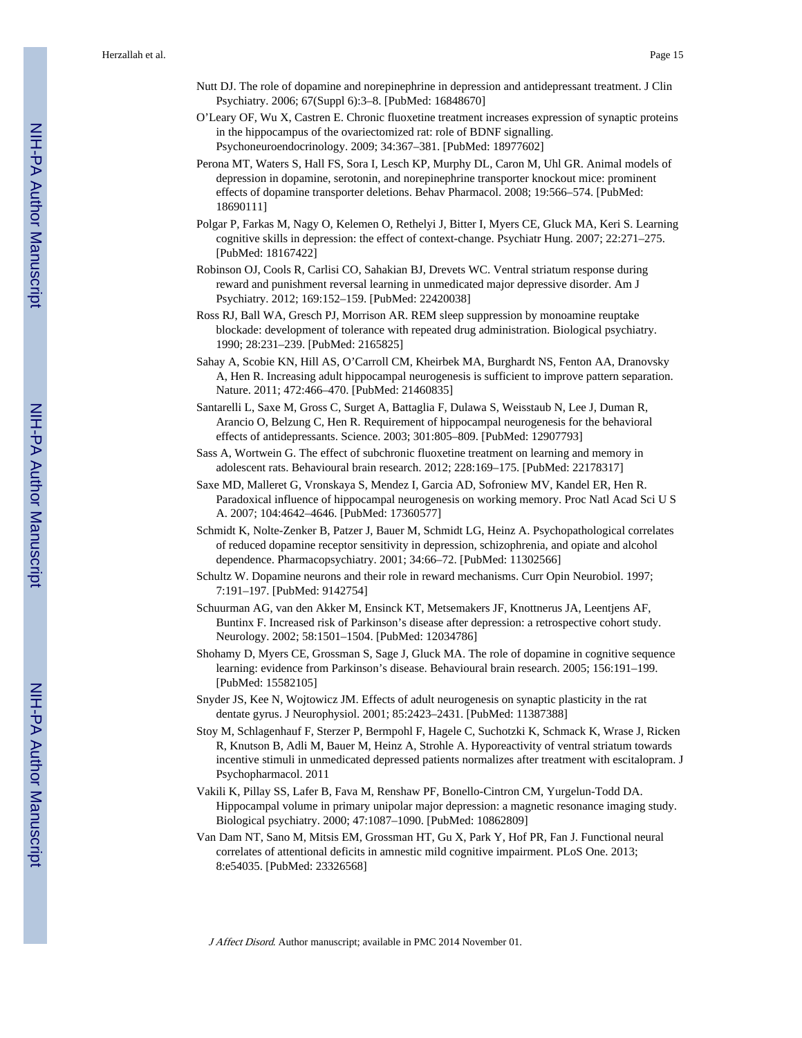- Nutt DJ. The role of dopamine and norepinephrine in depression and antidepressant treatment. J Clin Psychiatry. 2006; 67(Suppl 6):3–8. [PubMed: 16848670]
- O'Leary OF, Wu X, Castren E. Chronic fluoxetine treatment increases expression of synaptic proteins in the hippocampus of the ovariectomized rat: role of BDNF signalling. Psychoneuroendocrinology. 2009; 34:367–381. [PubMed: 18977602]
- Perona MT, Waters S, Hall FS, Sora I, Lesch KP, Murphy DL, Caron M, Uhl GR. Animal models of depression in dopamine, serotonin, and norepinephrine transporter knockout mice: prominent effects of dopamine transporter deletions. Behav Pharmacol. 2008; 19:566–574. [PubMed: 18690111]
- Polgar P, Farkas M, Nagy O, Kelemen O, Rethelyi J, Bitter I, Myers CE, Gluck MA, Keri S. Learning cognitive skills in depression: the effect of context-change. Psychiatr Hung. 2007; 22:271–275. [PubMed: 18167422]
- Robinson OJ, Cools R, Carlisi CO, Sahakian BJ, Drevets WC. Ventral striatum response during reward and punishment reversal learning in unmedicated major depressive disorder. Am J Psychiatry. 2012; 169:152–159. [PubMed: 22420038]
- Ross RJ, Ball WA, Gresch PJ, Morrison AR. REM sleep suppression by monoamine reuptake blockade: development of tolerance with repeated drug administration. Biological psychiatry. 1990; 28:231–239. [PubMed: 2165825]
- Sahay A, Scobie KN, Hill AS, O'Carroll CM, Kheirbek MA, Burghardt NS, Fenton AA, Dranovsky A, Hen R. Increasing adult hippocampal neurogenesis is sufficient to improve pattern separation. Nature. 2011; 472:466–470. [PubMed: 21460835]
- Santarelli L, Saxe M, Gross C, Surget A, Battaglia F, Dulawa S, Weisstaub N, Lee J, Duman R, Arancio O, Belzung C, Hen R. Requirement of hippocampal neurogenesis for the behavioral effects of antidepressants. Science. 2003; 301:805–809. [PubMed: 12907793]
- Sass A, Wortwein G. The effect of subchronic fluoxetine treatment on learning and memory in adolescent rats. Behavioural brain research. 2012; 228:169–175. [PubMed: 22178317]
- Saxe MD, Malleret G, Vronskaya S, Mendez I, Garcia AD, Sofroniew MV, Kandel ER, Hen R. Paradoxical influence of hippocampal neurogenesis on working memory. Proc Natl Acad Sci U S A. 2007; 104:4642–4646. [PubMed: 17360577]
- Schmidt K, Nolte-Zenker B, Patzer J, Bauer M, Schmidt LG, Heinz A. Psychopathological correlates of reduced dopamine receptor sensitivity in depression, schizophrenia, and opiate and alcohol dependence. Pharmacopsychiatry. 2001; 34:66–72. [PubMed: 11302566]
- Schultz W. Dopamine neurons and their role in reward mechanisms. Curr Opin Neurobiol. 1997; 7:191–197. [PubMed: 9142754]
- Schuurman AG, van den Akker M, Ensinck KT, Metsemakers JF, Knottnerus JA, Leentjens AF, Buntinx F. Increased risk of Parkinson's disease after depression: a retrospective cohort study. Neurology. 2002; 58:1501–1504. [PubMed: 12034786]
- Shohamy D, Myers CE, Grossman S, Sage J, Gluck MA. The role of dopamine in cognitive sequence learning: evidence from Parkinson's disease. Behavioural brain research. 2005; 156:191–199. [PubMed: 15582105]
- Snyder JS, Kee N, Wojtowicz JM. Effects of adult neurogenesis on synaptic plasticity in the rat dentate gyrus. J Neurophysiol. 2001; 85:2423–2431. [PubMed: 11387388]
- Stoy M, Schlagenhauf F, Sterzer P, Bermpohl F, Hagele C, Suchotzki K, Schmack K, Wrase J, Ricken R, Knutson B, Adli M, Bauer M, Heinz A, Strohle A. Hyporeactivity of ventral striatum towards incentive stimuli in unmedicated depressed patients normalizes after treatment with escitalopram. J Psychopharmacol. 2011
- Vakili K, Pillay SS, Lafer B, Fava M, Renshaw PF, Bonello-Cintron CM, Yurgelun-Todd DA. Hippocampal volume in primary unipolar major depression: a magnetic resonance imaging study. Biological psychiatry. 2000; 47:1087–1090. [PubMed: 10862809]
- Van Dam NT, Sano M, Mitsis EM, Grossman HT, Gu X, Park Y, Hof PR, Fan J. Functional neural correlates of attentional deficits in amnestic mild cognitive impairment. PLoS One. 2013; 8:e54035. [PubMed: 23326568]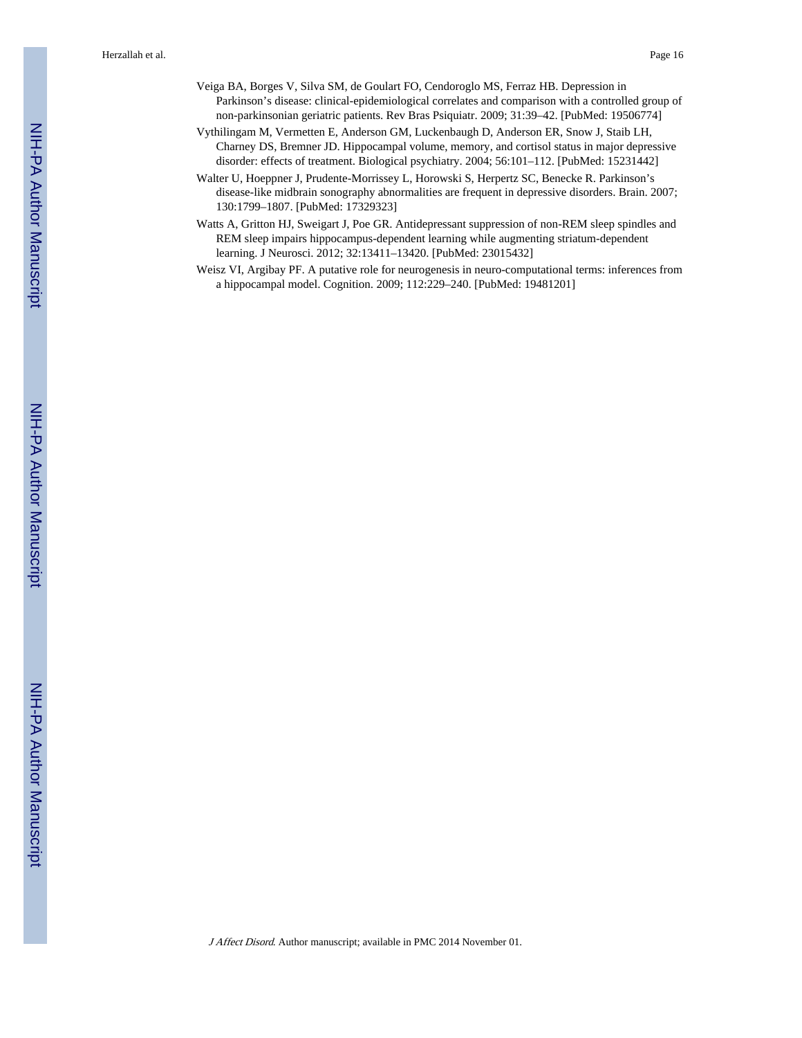- Veiga BA, Borges V, Silva SM, de Goulart FO, Cendoroglo MS, Ferraz HB. Depression in Parkinson's disease: clinical-epidemiological correlates and comparison with a controlled group of non-parkinsonian geriatric patients. Rev Bras Psiquiatr. 2009; 31:39–42. [PubMed: 19506774]
- Vythilingam M, Vermetten E, Anderson GM, Luckenbaugh D, Anderson ER, Snow J, Staib LH, Charney DS, Bremner JD. Hippocampal volume, memory, and cortisol status in major depressive disorder: effects of treatment. Biological psychiatry. 2004; 56:101–112. [PubMed: 15231442]
- Walter U, Hoeppner J, Prudente-Morrissey L, Horowski S, Herpertz SC, Benecke R. Parkinson's disease-like midbrain sonography abnormalities are frequent in depressive disorders. Brain. 2007; 130:1799–1807. [PubMed: 17329323]
- Watts A, Gritton HJ, Sweigart J, Poe GR. Antidepressant suppression of non-REM sleep spindles and REM sleep impairs hippocampus-dependent learning while augmenting striatum-dependent learning. J Neurosci. 2012; 32:13411–13420. [PubMed: 23015432]
- Weisz VI, Argibay PF. A putative role for neurogenesis in neuro-computational terms: inferences from a hippocampal model. Cognition. 2009; 112:229–240. [PubMed: 19481201]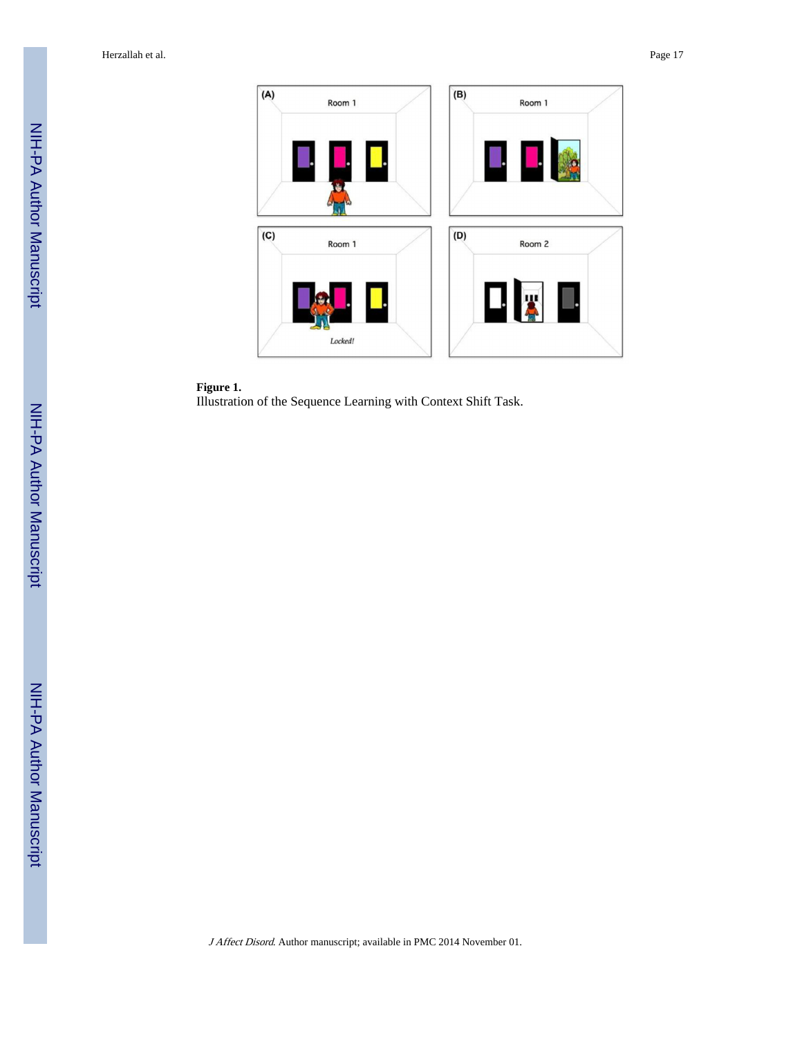Herzallah et al. Page 17



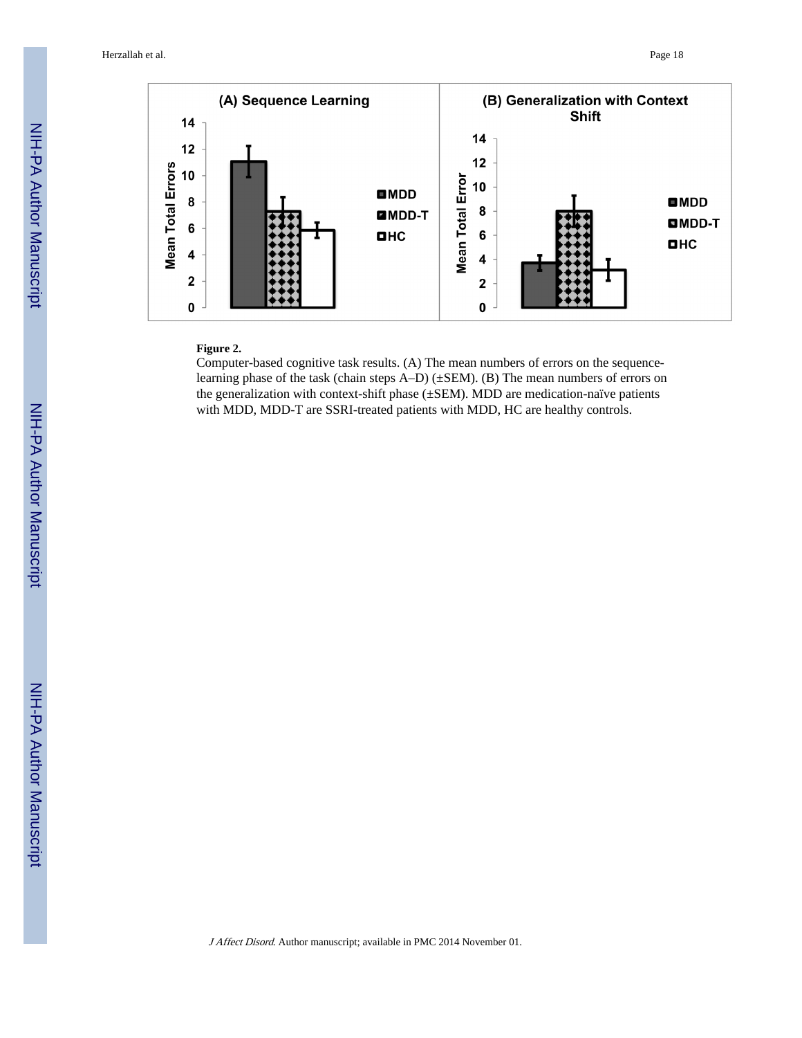Herzallah et al. Page 18



#### **Figure 2.**

Computer-based cognitive task results. (A) The mean numbers of errors on the sequencelearning phase of the task (chain steps A–D) (±SEM). (B) The mean numbers of errors on the generalization with context-shift phase (±SEM). MDD are medication-naïve patients with MDD, MDD-T are SSRI-treated patients with MDD, HC are healthy controls.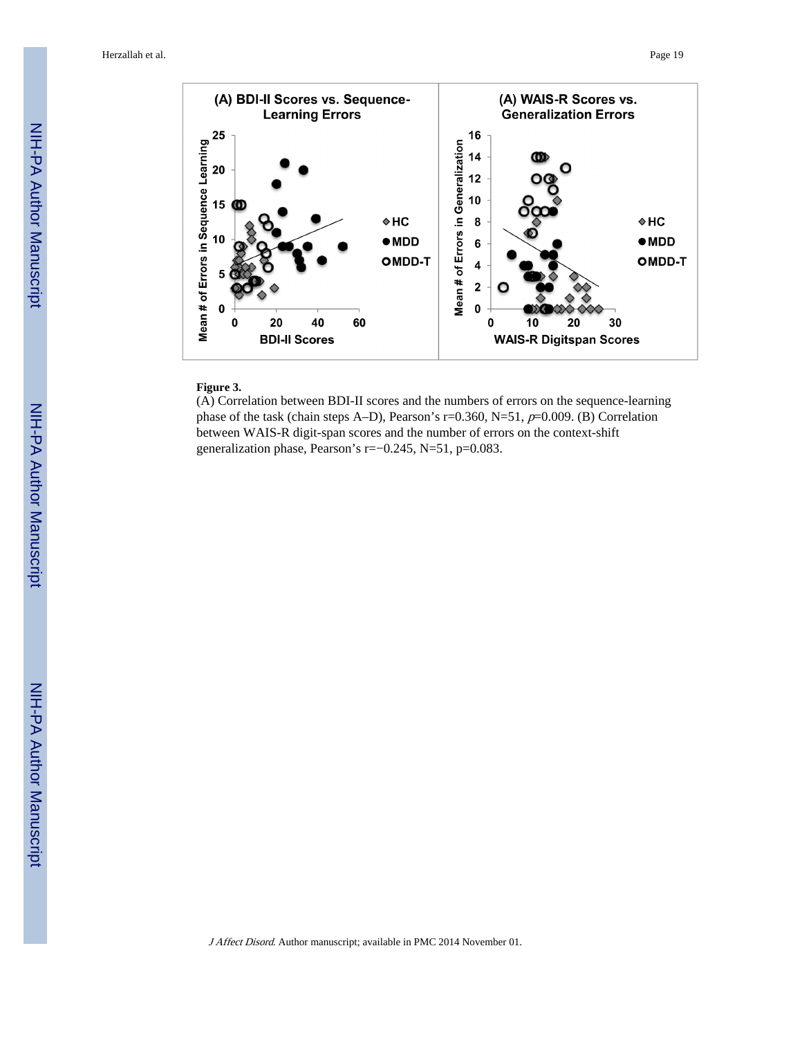Herzallah et al. Page 19



#### **Figure 3.**

(A) Correlation between BDI-II scores and the numbers of errors on the sequence-learning phase of the task (chain steps A–D), Pearson's r=0.360, N=51,  $p=0.009$ . (B) Correlation between WAIS-R digit-span scores and the number of errors on the context-shift generalization phase, Pearson's r=−0.245, N=51, p=0.083.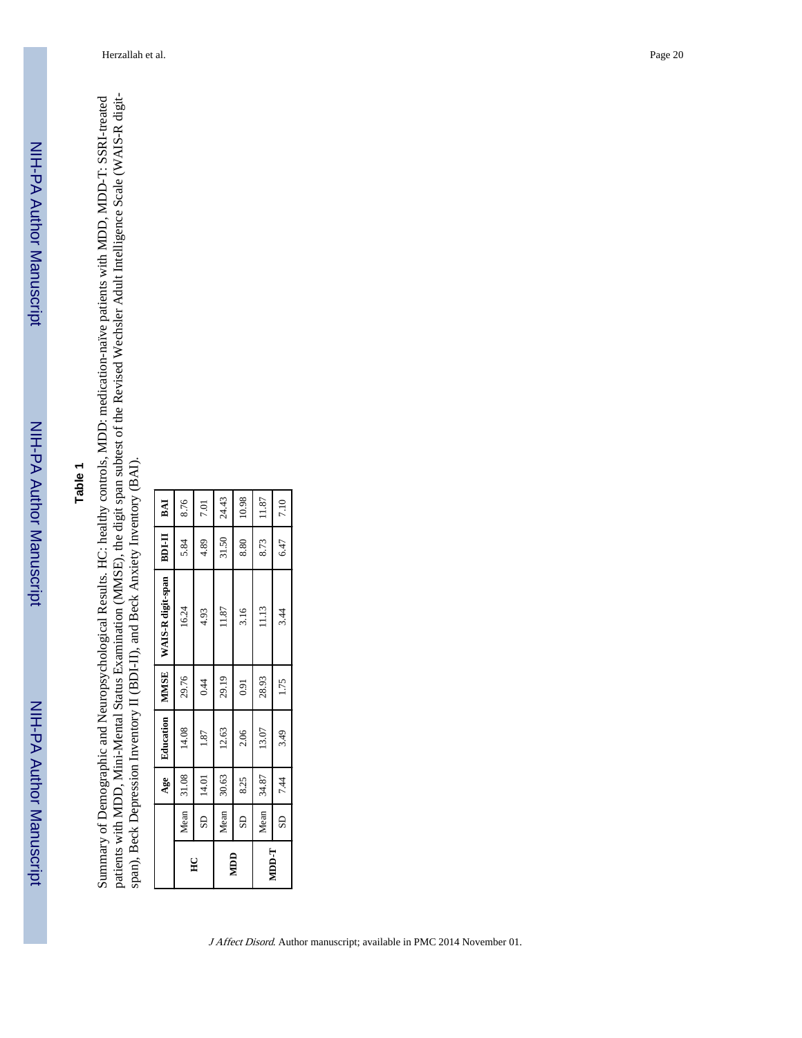NIH-PA Author Manuscript

NIH-PA Author Manuscript

# **Table 1**

Summary of Demographic and Neuropsychological Results. HC: healthy controls, MDD: medication-naïve patients with MDD, MDD-T: SSRI-treated<br>patients with MDD, Mini-Mental Status Examination (MMSE), the digit span subtest of patients with MDD, Mini-Mental Status Examination (MMSE), the digit span subtest of the Revised Wechsler Adult Intelligence Scale (WAIS-R digit-Summary of Demographic and Neuropsychological Results. HC: healthy controls, MDD: medication-naïve patients with MDD, MDD-T: SSRI-treated span), Beck Depression Inventory II (BDI-II), and Beck Anxiety Inventory (BAI). span), Beck Depression Inventory II (BDI-II), and Beck Anxiety Inventory (BAI).

|              |                         | Age   | Education | <b>MIMSE</b> | WAIS-R digit-span | <b>BDI-II</b> | BAI   |
|--------------|-------------------------|-------|-----------|--------------|-------------------|---------------|-------|
| $\mathbf{H}$ | Mean                    | 31.08 | 14.08     | 29.76        | 16.24             | 5.84          | 8.76  |
|              | SD.                     | 14.01 | 1.87      | 0.44         | 4.93              | 4.89          | 7.01  |
|              | Mean                    | 30.63 | 12.63     | 29.19        | 11.87             | 31.50         | 24.43 |
| <b>QUIN</b>  | GS                      | 8.25  | 2.06      | 0.91         | 3.16              | 8.80          | 10.98 |
| NDD-T        | Mean                    | 34.87 | 13.07     | 28.93        | 11.13             | 8.73          | 11.87 |
|              | $\overline{\mathbf{S}}$ | 7.44  | 3.49      | 1.75         | 3.44              | 6.47          | 7.10  |